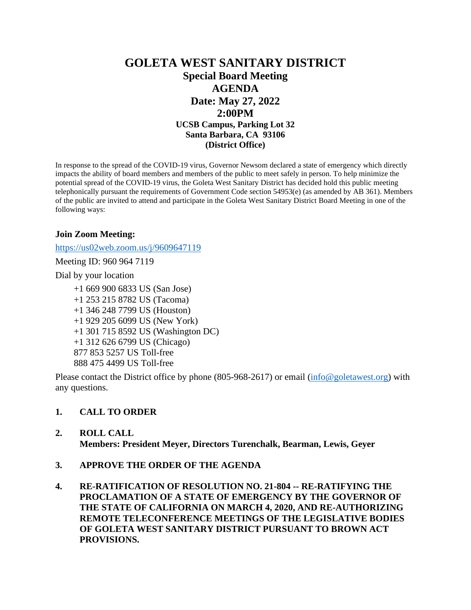## **GOLETA WEST SANITARY DISTRICT Special Board Meeting AGENDA Date: May 27, 2022 2:00PM UCSB Campus, Parking Lot 32 Santa Barbara, CA 93106 (District Office)**

In response to the spread of the COVID-19 virus, Governor Newsom declared a state of emergency which directly impacts the ability of board members and members of the public to meet safely in person. To help minimize the potential spread of the COVID-19 virus, the Goleta West Sanitary District has decided hold this public meeting telephonically pursuant the requirements of Government Code section 54953(e) (as amended by AB 361). Members of the public are invited to attend and participate in the Goleta West Sanitary District Board Meeting in one of the following ways:

#### **Join Zoom Meeting:**

<https://us02web.zoom.us/j/9609647119>

Meeting ID: 960 964 7119

Dial by your location

+1 669 900 6833 US (San Jose) +1 253 215 8782 US (Tacoma) +1 346 248 7799 US (Houston) +1 929 205 6099 US (New York) +1 301 715 8592 US (Washington DC) +1 312 626 6799 US (Chicago) 877 853 5257 US Toll-free 888 475 4499 US Toll-free

Please contact the District office by phone (805-968-2617) or email [\(info@goletawest.org\)](mailto:info@goletawest.org) with any questions.

#### **1. CALL TO ORDER**

#### **2. ROLL CALL**

**Members: President Meyer, Directors Turenchalk, Bearman, Lewis, Geyer**

- **3. APPROVE THE ORDER OF THE AGENDA**
- **4. RE-RATIFICATION OF RESOLUTION NO. 21-804 -- RE-RATIFYING THE PROCLAMATION OF A STATE OF EMERGENCY BY THE GOVERNOR OF THE STATE OF CALIFORNIA ON MARCH 4, 2020, AND RE-AUTHORIZING REMOTE TELECONFERENCE MEETINGS OF THE LEGISLATIVE BODIES OF GOLETA WEST SANITARY DISTRICT PURSUANT TO BROWN ACT PROVISIONS.**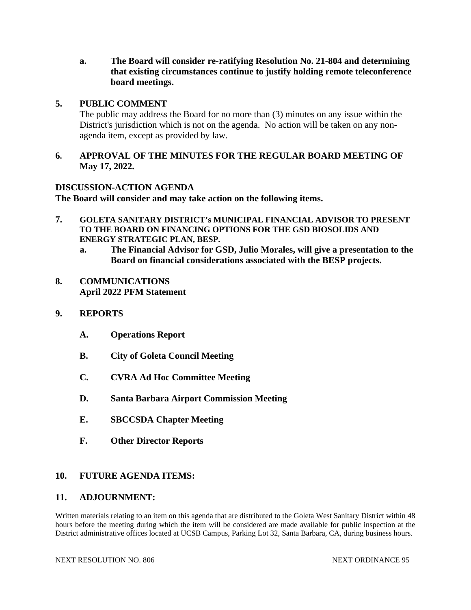**a. The Board will consider re-ratifying Resolution No. 21-804 and determining that existing circumstances continue to justify holding remote teleconference board meetings.**

#### **5. PUBLIC COMMENT**

The public may address the Board for no more than (3) minutes on any issue within the District's jurisdiction which is not on the agenda. No action will be taken on any nonagenda item, except as provided by law.

#### **6. APPROVAL OF THE MINUTES FOR THE REGULAR BOARD MEETING OF May 17, 2022.**

#### **DISCUSSION-ACTION AGENDA**

**The Board will consider and may take action on the following items.**

- **7. GOLETA SANITARY DISTRICT's MUNICIPAL FINANCIAL ADVISOR TO PRESENT TO THE BOARD ON FINANCING OPTIONS FOR THE GSD BIOSOLIDS AND ENERGY STRATEGIC PLAN, BESP.**
	- **a. The Financial Advisor for GSD, Julio Morales, will give a presentation to the Board on financial considerations associated with the BESP projects.**
- **8. COMMUNICATIONS April 2022 PFM Statement**

#### **9. REPORTS**

- **A. Operations Report**
- **B. City of Goleta Council Meeting**
- **C. CVRA Ad Hoc Committee Meeting**
- **D. Santa Barbara Airport Commission Meeting**
- **E. SBCCSDA Chapter Meeting**
- **F. Other Director Reports**

#### **10. FUTURE AGENDA ITEMS:**

#### **11. ADJOURNMENT:**

Written materials relating to an item on this agenda that are distributed to the Goleta West Sanitary District within 48 hours before the meeting during which the item will be considered are made available for public inspection at the District administrative offices located at UCSB Campus, Parking Lot 32, Santa Barbara, CA, during business hours.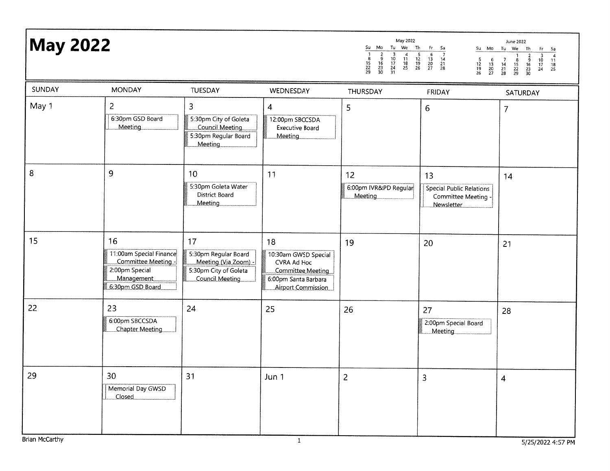## **May 2022**

|                     |                     |                      | May 2022       |                |                     |                |                |                     |                | June 2022                 |                     |                |          |
|---------------------|---------------------|----------------------|----------------|----------------|---------------------|----------------|----------------|---------------------|----------------|---------------------------|---------------------|----------------|----------|
| Su                  | Mo                  | Tu                   | We             | Th             | Fr                  | Sa             | su             | Mo                  | Tu             | We                        | Th                  | Fr             | Sa       |
| 8<br>15<br>22<br>29 | 9<br>16<br>23<br>30 | 10<br>17<br>24<br>31 | 11<br>18<br>25 | 12<br>19<br>26 | 6<br>13<br>20<br>27 | 14<br>21<br>28 | 12<br>19<br>26 | 6<br>13<br>20<br>27 | 14<br>21<br>28 | 15<br>22<br>29            | 9<br>16<br>23<br>30 | 10<br>17<br>24 | 18<br>25 |
| <b>TULIDODAV</b>    |                     |                      |                |                |                     | <b>FDIDAY</b>  |                |                     |                | $C$ a $T$ is true and $T$ |                     |                |          |

| SUNDAY | <b>MONDAY</b>                                                                                            | TUESDAY                                                                                               | WEDNESDAY                                                                                                    | THURSDAY                                      | FRIDAY                                                              | SATURDAY       |
|--------|----------------------------------------------------------------------------------------------------------|-------------------------------------------------------------------------------------------------------|--------------------------------------------------------------------------------------------------------------|-----------------------------------------------|---------------------------------------------------------------------|----------------|
| May 1  | $\overline{2}$<br>6:30pm GSD Board<br><b>Meeting</b>                                                     | 3<br>5:30pm City of Goleta<br>Council Meeting<br>5:30pm Regular Board<br>Meeting                      | 4<br>12:00pm SBCCSDA<br>Executive Board<br>Meeting                                                           | 5                                             | $6\phantom{.}6$                                                     | $\overline{7}$ |
| 8      | 9                                                                                                        | 10<br>5:30pm Goleta Water<br><b>District Board</b><br><b>Meeting</b>                                  | 11                                                                                                           | 12<br>6:00pm IVR&PD Regular<br><b>Meeting</b> | 13<br>Special Public Relations<br>Committee Meeting -<br>Newsletter | 14             |
| 15     | 16<br>11:00am Special Finance<br>Committee Meeting -<br>2:00pm Special<br>Management<br>6:30pm GSD Board | 17<br>5:30pm Regular Board<br>Meeting (Via Zoom) -<br>5:30pm City of Goleta<br><b>Council Meeting</b> | 18<br>10:30am GWSD Special<br>CVRA Ad Hoc<br>Committee Meeting<br>6:00pm Santa Barbara<br>Airport Commission | 19                                            | 20                                                                  | 21             |
| 22     | 23<br>6:00pm SBCCSDA<br><b>Chapter Meeting</b>                                                           | 24                                                                                                    | 25                                                                                                           | 26                                            | 27<br>2:00pm Special Board<br>Meeting                               | 28             |
| 29     | 30<br>Memorial Day GWSD<br>Closed                                                                        | 31                                                                                                    | Jun 1                                                                                                        | $\overline{c}$                                | 3                                                                   | $\overline{4}$ |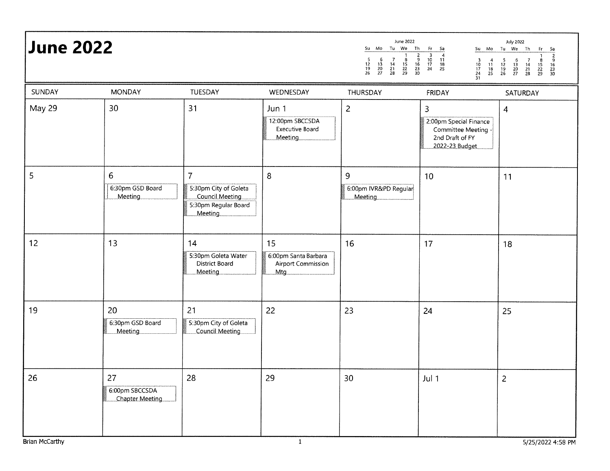| <b>June 2022</b> |                                                |                                                                                               |                                                          | June 2022<br>Su Mo Tu We Th<br>$\begin{array}{c}\n2 \\ 2 \\ 16 \\ 23 \\ 30\n\end{array}$<br>$\begin{array}{c} 7 \\ 14 \\ 21 \\ 28 \end{array}$<br>$\frac{5}{12}$<br>$\frac{12}{19}$<br>26<br>$\begin{array}{c} 6 \\ 13 \\ 20 \\ 27 \end{array}$<br>$\frac{8}{15}$<br>$\frac{22}{29}$ | Fr<br>- Sa<br>$\frac{3}{10}$<br>$\frac{17}{24}$<br>$\frac{24}{31}$<br>$\begin{array}{c} 4 \\ 11 \\ 18 \\ 25 \end{array}$ | <b>July 2022</b><br>Su Mo Tu We Th<br>Fr<br>$\begin{array}{r} 5a \\ \hline 2 \\ 9 \\ 16 \\ 23 \\ 30 \end{array}$<br>$\begin{array}{c} 5 \\ 12 \\ 19 \\ 26 \end{array}$<br>$\begin{array}{c} 6 \\ 13 \\ 20 \\ 27 \end{array}$<br>$\begin{array}{c} 7 \\ 14 \\ 21 \\ 28 \end{array}$<br>$\frac{8}{15}$<br>$\frac{22}{29}$ |
|------------------|------------------------------------------------|-----------------------------------------------------------------------------------------------|----------------------------------------------------------|--------------------------------------------------------------------------------------------------------------------------------------------------------------------------------------------------------------------------------------------------------------------------------------|--------------------------------------------------------------------------------------------------------------------------|-------------------------------------------------------------------------------------------------------------------------------------------------------------------------------------------------------------------------------------------------------------------------------------------------------------------------|
| SUNDAY           | <b>MONDAY</b>                                  | TUESDAY                                                                                       | WEDNESDAY                                                | THURSDAY                                                                                                                                                                                                                                                                             | FRIDAY                                                                                                                   | SATURDAY                                                                                                                                                                                                                                                                                                                |
| May 29           | 30                                             | 31                                                                                            | Jun 1<br>12:00pm SBCCSDA<br>Executive Board<br>Meeting   | $\overline{c}$                                                                                                                                                                                                                                                                       | 3<br>2:00pm Special Finance<br>Committee Meeting -<br>2nd Draft of FY<br>2022-23 Budget                                  | 4                                                                                                                                                                                                                                                                                                                       |
| 5                | 6<br>6:30pm GSD Board<br>Meeting               | $\overline{7}$<br>5:30pm City of Goleta<br>Council Meeting<br>5:30pm Regular Board<br>Meeting | 8                                                        | 9<br>6:00pm IVR&PD Regular<br>Meeting                                                                                                                                                                                                                                                | 10                                                                                                                       | 11                                                                                                                                                                                                                                                                                                                      |
| 12               | 13                                             | 14<br>5:30pm Goleta Water<br><b>District Board</b><br>Meeting                                 | 15<br>6:00pm Santa Barbara<br>Airport Commission<br>Mtg. | 16                                                                                                                                                                                                                                                                                   | 17                                                                                                                       | 18                                                                                                                                                                                                                                                                                                                      |
| 19               | 20<br>6:30pm GSD Board<br>Meeting              | 21<br>5:30pm City of Goleta<br>Council Meeting                                                | 22                                                       | 23                                                                                                                                                                                                                                                                                   | 24                                                                                                                       | 25                                                                                                                                                                                                                                                                                                                      |
| 26               | 27<br>6:00pm SBCCSDA<br><b>Chapter Meeting</b> | 28                                                                                            | 29                                                       | 30 <sub>o</sub>                                                                                                                                                                                                                                                                      | Jul 1                                                                                                                    | $\overline{2}$                                                                                                                                                                                                                                                                                                          |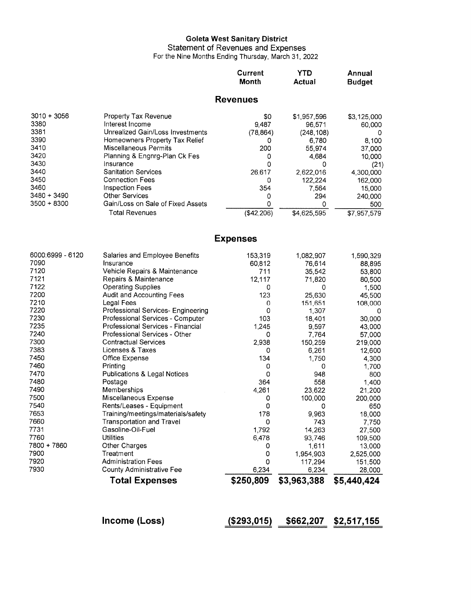# Goleta West Sanitary District<br>Statement of Revenues and Expenses<br>For the Nine Months Ending Thursday, March 31, 2022

|                  |                                   | <b>Current</b><br>Month | YTD<br>Actual | Annual<br><b>Budget</b> |
|------------------|-----------------------------------|-------------------------|---------------|-------------------------|
|                  |                                   | <b>Revenues</b>         |               |                         |
| $3010 + 3056$    | Property Tax Revenue              | \$0                     | \$1,957,596   | \$3,125,000             |
| 3380             | Interest Income                   | 9,487                   | 96,571        | 60,000                  |
| 3381             | Unrealized Gain/Loss Investments  | (78, 864)               | (248, 108)    |                         |
| 3390             | Homeowners Property Tax Relief    | 0                       | 6,780         | 8,100                   |
| 3410             | Miscellaneous Permits             | 200                     | 55,974        | 37,000                  |
| 3420             | Planning & Engnrg-Plan Ck Fes     | 0                       | 4,684         | 10,000                  |
| 3430             | Insurance                         | 0                       | Ω             | (21)                    |
| 3440             | <b>Sanitation Services</b>        | 26,617                  | 2,622,016     | 4,300,000               |
| 3450             | <b>Connection Fees</b>            | 0                       | 122,224       | 162,000                 |
| 3460             | Inspection Fees                   | 354                     | 7,564         | 15,000                  |
| 3480 + 3490      | <b>Other Services</b>             | 0                       | 294           | 240,000                 |
| 3500 + 8300      | Gain/Loss on Sale of Fixed Assets | 0                       | 0             | 500                     |
|                  | <b>Total Revenues</b>             | (\$42,206)              | \$4,625,595   | \$7,957,579             |
|                  |                                   | Expenses                |               |                         |
| 6000:6999 - 6120 | Salaries and Employee Benefits    | 153,319                 | 1,082,907     | 1,590,329               |
| 7090             | Insurance                         | 60,812                  | 76.614        | 88,895                  |
| 7120             | Vehicle Repairs & Maintenance     | 711                     | 35.542        | 53,800                  |
|                  |                                   |                         |               |                         |

|             | <b>Total Expenses</b>              | \$250,809 | \$3,963,388 | \$5,440,424 |
|-------------|------------------------------------|-----------|-------------|-------------|
| 7930        | County Administrative Fee          | 6,234     | 6,234       | 28,000      |
| 7920        | <b>Administration Fees</b>         | 0         | 117,294     | 151,500     |
| 7900        | Treatment                          | 0         | 1,954,903   | 2,525,000   |
| 7800 + 7860 | Other Charges                      | 0         | 1,611       | 13,000      |
| 7760        | Utilities                          | 6,478     | 93,746      | 109,500     |
| 7731        | Gasoline-Oil-Fuel                  | 1,792     | 14,263      | 27,500      |
| 7660        | Transportation and Travel          | 0         | 743         | 7,750       |
| 7653        | Training/meetings/materials/safety | 178       | 9,963       | 18,000      |
| 7540        | Rents/Leases - Equipment           | 0         | 0           | 650         |
| 7500        | Miscellaneous Expense              | 0         | 100,000     | 200,000     |
| 7490        | Memberships                        | 4,261     | 23,622      | 21,200      |
| 7480        | Postage                            | 364       | 558         | 1,400       |
| 7470        | Publications & Legal Notices       | 0         | 948         | 800         |
| 7460        | Printing                           | 0         | Ω           | 1,700       |
| 7450        | Office Expense                     | 134       | 1,750       | 4,300       |
| 7383        | Licenses & Taxes                   | 0         | 6,261       | 12,600      |
| 7300        | <b>Contractual Services</b>        | 2,938     | 150,259     | 219,000     |
| 7240        | Professional Services - Other      | 0         | 7,764       | 57,000      |
| 7235        | Professional Services - Financial  | 1,245     | 9,597       | 43,000      |
| 7230        | Professional Services - Computer   | 103       | 18,401      | 30,000      |
| 7220        | Professional Services- Engineering | 0         | 1,307       | n           |
| 7210        | Legal Fees                         | 0         | 151,651     | 108,000     |
| 7200        | Audit and Accounting Fees          | 123       | 25,630      | 45,500      |
| 7122        | <b>Operating Supplies</b>          | 0         | 0           | 1,500       |
| 7121        | Repairs & Maintenance              | 12,117    | 71,820      | 80,500      |
| 7120        | Vehicle Repairs & Maintenance      | 711       | 35,542      | 53,800      |
| 7090        | Insurance                          | 60,812    | 76,614      | 88,895      |

Income (Loss)  $(293,015)$   $2662,207$   $2517,155$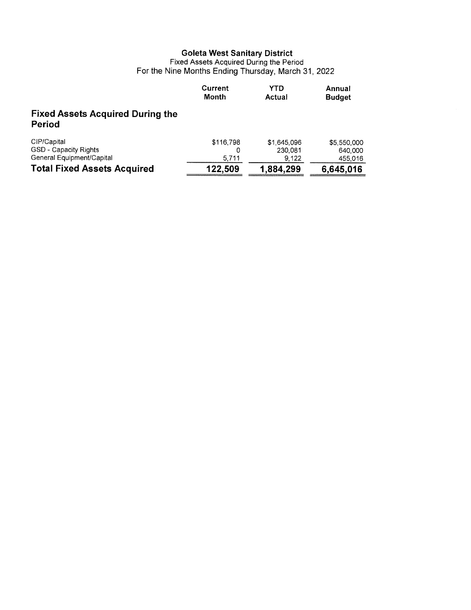# Goleta West Sanitary District<br>Fixed Assets Acquired During the Period<br>For the Nine Months Ending Thursday, March 31, 2022

|                                                                   | <b>Current</b><br>Month | YTD<br>Actual                   | Annual<br><b>Budget</b>           |
|-------------------------------------------------------------------|-------------------------|---------------------------------|-----------------------------------|
| <b>Fixed Assets Acquired During the</b><br>Period                 |                         |                                 |                                   |
| CIP/Capital<br>GSD - Capacity Rights<br>General Equipment/Capital | \$116,798<br>5,711      | \$1,645,096<br>230.081<br>9,122 | \$5,550,000<br>640,000<br>455,016 |
| <b>Total Fixed Assets Acquired</b>                                | 122,509                 | 1,884,299                       | 6,645,016                         |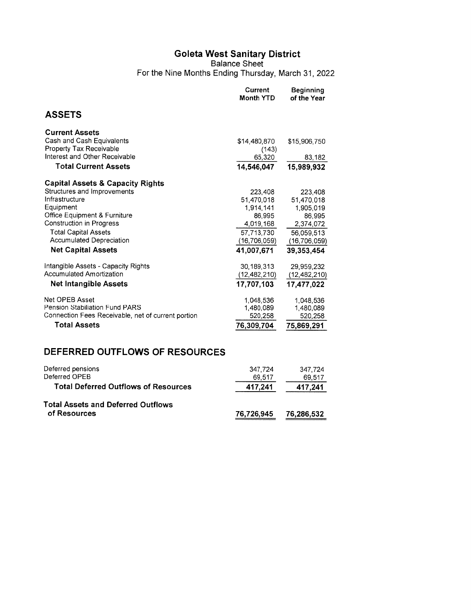## Goleta West Sanitary District<br>Balance Sheet

For the Nine Months Ending Thursday, March 31, 2022

|                                                    | Current<br><b>Month YTD</b> | <b>Beginning</b><br>of the Year |
|----------------------------------------------------|-----------------------------|---------------------------------|
| <b>ASSETS</b>                                      |                             |                                 |
| <b>Current Assets</b>                              |                             |                                 |
| Cash and Cash Equivalents                          | \$14,480,870                | \$15,906,750                    |
| Property Tax Receivable                            | (143)                       |                                 |
| Interest and Other Receivable                      | 65,320                      | 83,182                          |
| <b>Total Current Assets</b>                        | 14,546,047                  | 15,989,932                      |
| <b>Capital Assets &amp; Capacity Rights</b>        |                             |                                 |
| Structures and Improvements                        | 223,408                     | 223,408                         |
| infrastructure                                     | 51.470.018                  | 51.470,018                      |
| Equipment                                          | 1914.141                    | 1.905,019                       |
| <b>Office Equipment &amp; Furniture</b>            | 86,995                      | 86,995                          |
| <b>Construction in Progress</b>                    | 4,019,168                   | 2,374,072                       |
| <b>Total Capital Assets</b>                        | 57,713,730                  | 56.059,513                      |
| <b>Accumulated Depreciation</b>                    | (16, 706, 059)              | (16,706,059)                    |
| <b>Net Capital Assets</b>                          | 41,007,671                  | 39.353.454                      |
| Intangible Assets - Capacity Rights                | 30,189,313                  | 29,959,232                      |
| Accumulated Amortization                           | (12, 482, 210)              | (12, 482, 210)                  |
| <b>Net Intangible Assets</b>                       | 17,707,103                  | 17,477,022                      |
| Net OPEB Asset                                     | 1,048,536                   | 1,048,536                       |
| Pension Stabiliation Fund PARS                     | 1,480,089                   | 1,480,089                       |
| Connection Fees Receivable, net of current portion | 520,258                     | 520,258                         |
| <b>Total Assets</b>                                | 76,309,704                  | 75,869,291                      |

## DEFERRED OUTFLOWS OF RESOURCES

| Deferred pensions<br>Deferred OPEB                        | 347.724<br>69.517 | 347.724<br>69.517 |
|-----------------------------------------------------------|-------------------|-------------------|
| <b>Total Deferred Outflows of Resources</b>               | 417.241           | 417,241           |
| <b>Total Assets and Deferred Outflows</b><br>of Resources | 76,726,945        | 76,286,532        |
|                                                           |                   |                   |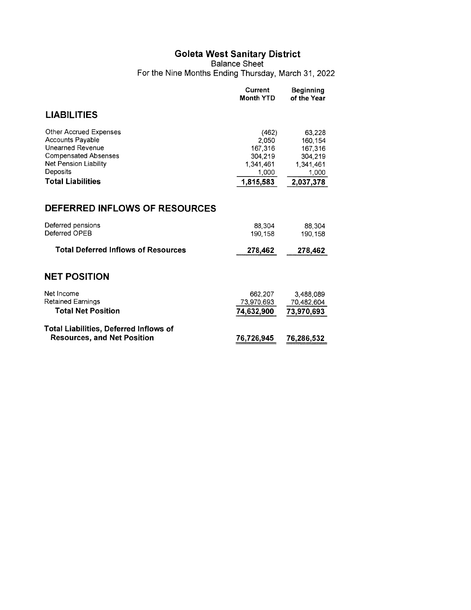Goleta West Sanitary District<br>Balance Sheet<br>For the Nine Months Ending Thursday, March 31, 2022

|                                                                                                                                                                       | Current<br><b>Month YTD</b>                                             | <b>Beginning</b><br>of the Year                                             |  |  |  |  |  |  |
|-----------------------------------------------------------------------------------------------------------------------------------------------------------------------|-------------------------------------------------------------------------|-----------------------------------------------------------------------------|--|--|--|--|--|--|
| <b>LIABILITIES</b>                                                                                                                                                    |                                                                         |                                                                             |  |  |  |  |  |  |
| Other Accrued Expenses<br><b>Accounts Payable</b><br>Unearned Revenue<br><b>Compensated Absenses</b><br>Net Pension Liability<br>Deposits<br><b>Total Liabilities</b> | (462)<br>2.050<br>167,316<br>304,219<br>1,341,461<br>1,000<br>1,815,583 | 63.228<br>160, 154<br>167,316<br>304,219<br>1,341,461<br>1,000<br>2,037,378 |  |  |  |  |  |  |
| DEFERRED INFLOWS OF RESOURCES                                                                                                                                         |                                                                         |                                                                             |  |  |  |  |  |  |
| Deferred pensions<br>Deferred OPEB                                                                                                                                    | 88,304<br>190,158                                                       | 88.304<br>190.158                                                           |  |  |  |  |  |  |
| <b>Total Deferred Inflows of Resources</b>                                                                                                                            | 278,462                                                                 | 278,462                                                                     |  |  |  |  |  |  |
| <b>NET POSITION</b>                                                                                                                                                   |                                                                         |                                                                             |  |  |  |  |  |  |
| Net Income<br><b>Retained Earnings</b><br><b>Total Net Position</b>                                                                                                   | 662,207<br>73,970,693<br>74,632,900                                     | 3.488.089<br>70,482,604<br>73,970,693                                       |  |  |  |  |  |  |
| <b>Total Liabilities, Deferred Inflows of</b><br><b>Resources, and Net Position</b>                                                                                   | 76.726.945                                                              | 76,286,532                                                                  |  |  |  |  |  |  |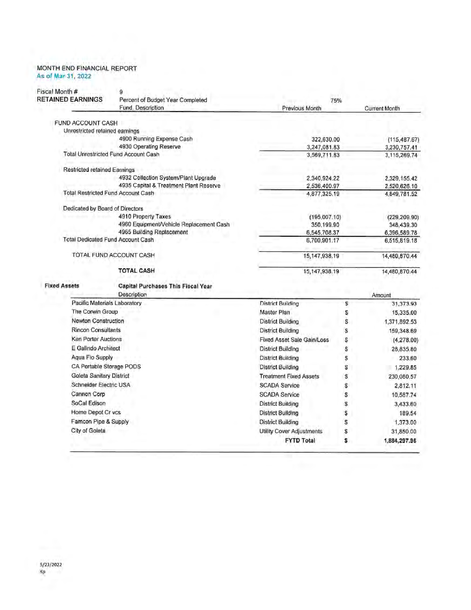#### MONTH END FINANCIAL REPORT As of Mar 31, 2022

| Fiscal Month #<br><b>RETAINED EARNINGS</b> | g<br>Percent of Budget Year Completed                    | 75%                               |    |                            |
|--------------------------------------------|----------------------------------------------------------|-----------------------------------|----|----------------------------|
|                                            | Fund, Description                                        | <b>Previous Month</b>             |    | <b>Current Month</b>       |
| FUND ACCOUNT CASH                          |                                                          |                                   |    |                            |
| Unrestricted retained earnings             |                                                          |                                   |    |                            |
|                                            | 4900 Running Expense Cash                                | 322,630.00                        |    | (115, 487.67)              |
|                                            | 4930 Operating Reserve                                   | 3,247,081.83                      |    | 3,230,757.41               |
|                                            | <b>Total Unrestricted Fund Account Cash</b>              | 3,569,711.83                      |    | 3,115,269.74               |
| <b>Restricted retained Earnings</b>        |                                                          |                                   |    |                            |
|                                            | 4932 Collection System/Plant Upgrade                     | 2,340,924.22                      |    | 2,329,155.42               |
|                                            | 4935 Capital & Treatment Plant Reserve                   | 2,536,400.97                      |    | 2,520,626.10               |
|                                            | <b>Total Restricted Fund Account Cash</b>                | 4,877,325.19                      |    | 4,849,781.52               |
| Dedicated by Board of Directors            |                                                          |                                   |    |                            |
|                                            | 4910 Property Taxes                                      | (195,007.10)                      |    | (229, 209.90)              |
|                                            | 4960 Equipment/Vehicle Replacement Cash                  | 350,199.90                        |    | 348,439.30                 |
|                                            | 4965 Building Replacement                                | 6,545,708.37                      |    | 6,396,589.78               |
|                                            | <b>Total Dedicated Fund Account Cash</b>                 | 6,700,901.17                      |    | 6,515,819.18               |
| TOTAL FUND ACCOUNT CASH                    |                                                          | 15, 147, 938.19                   |    | 14,480,870.44              |
|                                            | <b>TOTAL CASH</b>                                        | 15,147,938.19                     |    | 14,480,870.44              |
| <b>Fixed Assets</b>                        | <b>Capital Purchases This Fiscal Year</b><br>Description |                                   |    |                            |
| Pacific Materials Laboratory               |                                                          | <b>District Building</b>          | \$ | Amount<br>31,373.93        |
| The Corwin Group                           |                                                          | Master Plan                       | S  | 15,335.00                  |
| Newton Construction                        |                                                          | District Building                 | s  |                            |
| <b>Rincon Consultants</b>                  |                                                          | District Building                 | s  | 1,371,892.53<br>159,348.69 |
| <b>Ken Porter Auctions</b>                 |                                                          | <b>Fixed Asset Sale Gain/Loss</b> | s  | (4,278.00)                 |
| E Galindo Architect                        |                                                          | <b>District Building</b>          | S  | 28,835.80                  |
| Agua Flo Supply                            |                                                          | <b>District Building</b>          | \$ | 233.60                     |
| CA Portable Storage PODS                   |                                                          | <b>District Building</b>          | S  |                            |
| Goleta Sanitary District                   |                                                          | <b>Treatment Fixed Assets</b>     |    | 1,229.85                   |
| Schneider Electric USA                     |                                                          | <b>SCADA Service</b>              | \$ | 230,080.57                 |
| Cannon Corp                                |                                                          |                                   | \$ | 2,812.11                   |
|                                            |                                                          | <b>SCADA Service</b>              | \$ | 10,587.74                  |
| SoCal Edison                               |                                                          | <b>District Building</b>          | \$ | 3,433.60                   |
| Home Depot Cr vcs                          |                                                          | District Building                 | \$ | 189.54                     |
| Famcon Pipe & Supply                       |                                                          | District Building                 | S  | 1,373.00                   |
| City of Goleta                             |                                                          | Utility Cover Adjustments         | \$ | 31,850.00                  |
|                                            |                                                          | <b>FYTD Total</b>                 | \$ | 1,884,297.96               |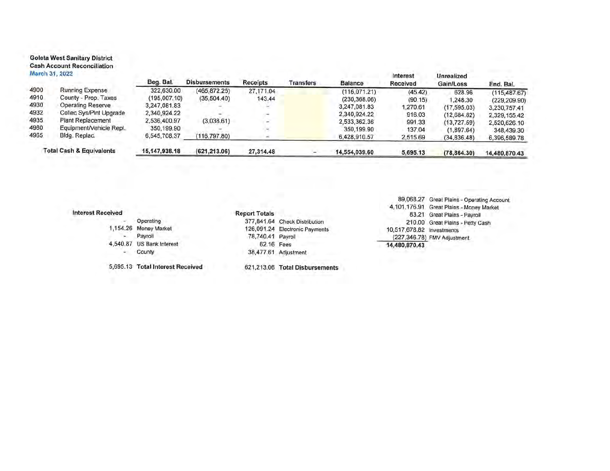#### **Goleta West Sanitary District Cash Account Reconciliation**  $1 - 6 + 6$ M.

J.

|      | warch 31, 2022                      | Beg. Bal.        | <b>Disbursements</b> | Receipts  | Transfers | Balance        | Interest<br>Received | Unrealized<br>Gain/Loss | End. Bal.      |
|------|-------------------------------------|------------------|----------------------|-----------|-----------|----------------|----------------------|-------------------------|----------------|
| 1900 | Running Expense                     | 322,630.00       | (465, 872.25)        | 27,171.04 |           | (116, 071, 21) | (45.42)              | 628.96                  | (115, 487.67)  |
| 1910 | County - Prop. Taxes                | (195,007,10)     | (35,504.40)          | 143.44    |           | (230, 368, 06) | (90.15)              | 1,248.30                | (229, 209, 90) |
| 1930 | Operating Reserve                   | 3,247,081.83     |                      |           |           | 3,247,081.83   | .270.61              | (17, 595.03)            | 3,230,757.41   |
| 1932 | Collec Sys/Pint Upgrade             | 2,340,924.22     |                      |           |           | 2.340.924.22   | 916.03               | (12,684,82)             | 2,329,155.42   |
| 1935 | Plant Replacement                   | 2,536,400.97     | (3,038.61)           |           |           | 2.533.362.36   | 991.33               | (13, 727.59)            | 2,520,626.10   |
| 1960 | Equipment/Vehicle Repl.             | 350,199.90       |                      |           |           | 350.199.90     | 137.04               | (1,897.64)              | 348,439.30     |
| 1965 | Bldg. Replac.                       | 6,545,708.37     | (116, 797.80)        |           |           | 6,428,910.57   | 2,515.69             | (34, 836.48)            | 6,396,589.78   |
|      | <b>Total Cash &amp; Equivalents</b> | 15, 147, 938. 18 | (621, 213.06)        | 27,314.48 |           | 14,554,039,60  | 5,695.13             | (78, 864.30)            | 14,480,870.43  |
|      |                                     |                  |                      |           |           |                |                      |                         |                |

#### **Interest Received**

|  |                                  | .                 |                               |
|--|----------------------------------|-------------------|-------------------------------|
|  | Operating                        |                   | 377,841.64 Check Distribution |
|  | 1,154.26 Money Market            |                   | 126,091.24 Electronic Paymer  |
|  | Payroll                          | 78,740.41 Payroll |                               |
|  | 4,540.87 US Bank Interest        | 62.16 Fees        |                               |
|  | County                           |                   | 38,477.61 Adjustment          |
|  | 5,695.13 Total Interest Received |                   | 621,213.06 Total Disburser    |

'n nts

**Report Totals** 

621,213.06 Total Disbursements

89,068.27 Great Plains - Operating Account 4,101,176.91 Great Plains - Money Market 83.21 Great Plains - Payroll 210.00 Great Plains - Petty Cash 10,517,678.82 Investments (227,346.78) FMV Adjustment 14,480,870.43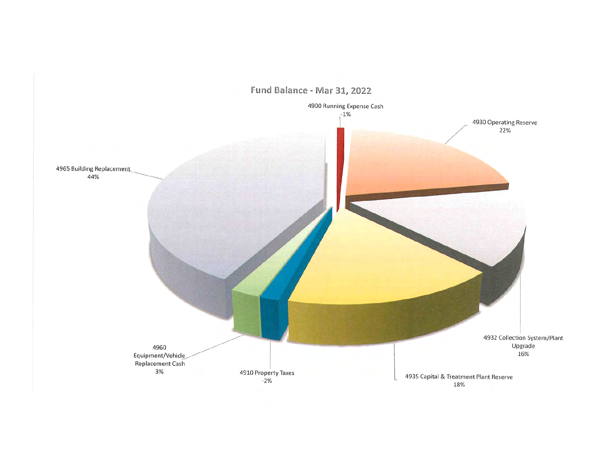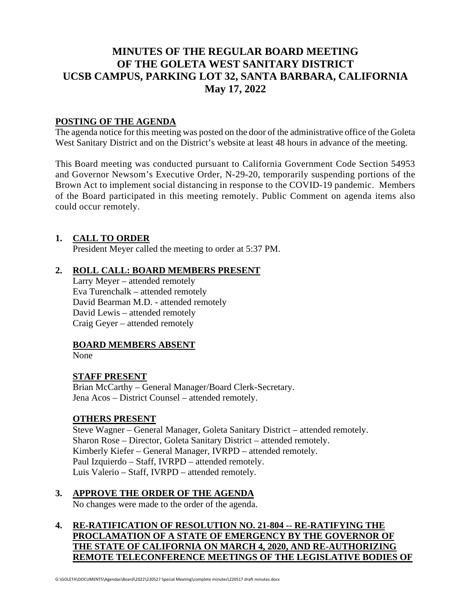## **MINUTES OF THE REGULAR BOARD MEETING OF THE GOLETA WEST SANITARY DISTRICT UCSB CAMPUS, PARKING LOT 32, SANTA BARBARA, CALIFORNIA May 17, 2022**

#### **POSTING OF THE AGENDA**

The agenda notice for this meeting was posted on the door of the administrative office of the Goleta West Sanitary District and on the District's website at least 48 hours in advance of the meeting.

This Board meeting was conducted pursuant to California Government Code Section 54953 and Governor Newsom's Executive Order, N-29-20, temporarily suspending portions of the Brown Act to implement social distancing in response to the COVID-19 pandemic. Members of the Board participated in this meeting remotely. Public Comment on agenda items also could occur remotely.

#### **1. CALL TO ORDER**

President Meyer called the meeting to order at 5:37 PM.

#### **2. ROLL CALL: BOARD MEMBERS PRESENT**

Larry Meyer – attended remotely Eva Turenchalk – attended remotely David Bearman M.D. - attended remotely David Lewis – attended remotely Craig Geyer – attended remotely

### **BOARD MEMBERS ABSENT**

None

#### **STAFF PRESENT**

Brian McCarthy – General Manager/Board Clerk-Secretary. Jena Acos – District Counsel – attended remotely.

#### **OTHERS PRESENT**

Steve Wagner – General Manager, Goleta Sanitary District – attended remotely. Sharon Rose – Director, Goleta Sanitary District – attended remotely. Kimberly Kiefer – General Manager, IVRPD – attended remotely. Paul Izquierdo – Staff, IVRPD – attended remotely. Luis Valerio – Staff, IVRPD – attended remotely.

### **3. APPROVE THE ORDER OF THE AGENDA**

No changes were made to the order of the agenda.

### **4. RE-RATIFICATION OF RESOLUTION NO. 21-804 -- RE-RATIFYING THE PROCLAMATION OF A STATE OF EMERGENCY BY THE GOVERNOR OF THE STATE OF CALIFORNIA ON MARCH 4, 2020, AND RE-AUTHORIZING REMOTE TELECONFERENCE MEETINGS OF THE LEGISLATIVE BODIES OF**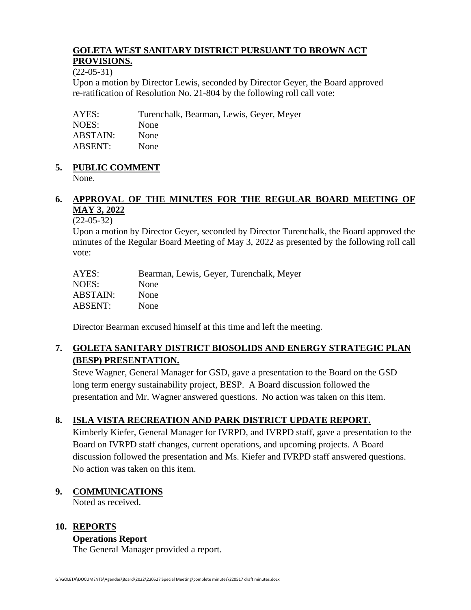#### **GOLETA WEST SANITARY DISTRICT PURSUANT TO BROWN ACT PROVISIONS.**

(22-05-31)

Upon a motion by Director Lewis, seconded by Director Geyer, the Board approved re-ratification of Resolution No. 21-804 by the following roll call vote:

AYES: Turenchalk, Bearman, Lewis, Geyer, Meyer NOES: None ABSTAIN: None ABSENT: None

## **5. PUBLIC COMMENT**

None.

## **6. APPROVAL OF THE MINUTES FOR THE REGULAR BOARD MEETING OF MAY 3, 2022**

### (22-05-32)

Upon a motion by Director Geyer, seconded by Director Turenchalk, the Board approved the minutes of the Regular Board Meeting of May 3, 2022 as presented by the following roll call vote:

| AYES:           | Bearman, Lewis, Geyer, Turenchalk, Meyer |
|-----------------|------------------------------------------|
| NOES:           | None                                     |
| <b>ABSTAIN:</b> | None                                     |
| ABSENT:         | None                                     |
|                 |                                          |

Director Bearman excused himself at this time and left the meeting.

## **7. GOLETA SANITARY DISTRICT BIOSOLIDS AND ENERGY STRATEGIC PLAN (BESP) PRESENTATION.**

Steve Wagner, General Manager for GSD, gave a presentation to the Board on the GSD long term energy sustainability project, BESP. A Board discussion followed the presentation and Mr. Wagner answered questions. No action was taken on this item.

## **8. ISLA VISTA RECREATION AND PARK DISTRICT UPDATE REPORT.**

Kimberly Kiefer, General Manager for IVRPD, and IVRPD staff, gave a presentation to the Board on IVRPD staff changes, current operations, and upcoming projects. A Board discussion followed the presentation and Ms. Kiefer and IVRPD staff answered questions. No action was taken on this item.

### **9. COMMUNICATIONS**

Noted as received.

### **10. REPORTS**

### **Operations Report**

The General Manager provided a report.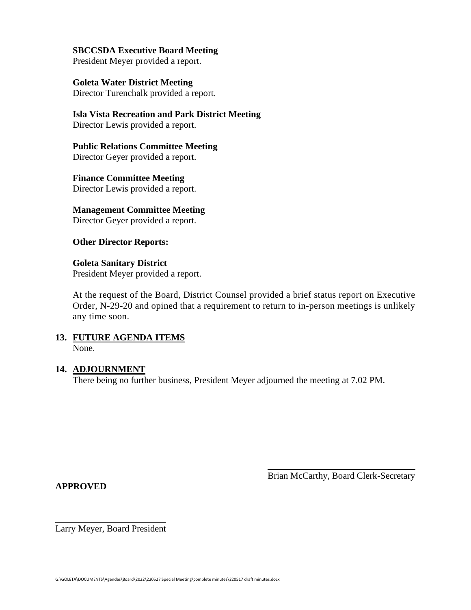#### **SBCCSDA Executive Board Meeting**

President Meyer provided a report.

**Goleta Water District Meeting** Director Turenchalk provided a report.

**Isla Vista Recreation and Park District Meeting** Director Lewis provided a report.

**Public Relations Committee Meeting** Director Geyer provided a report.

**Finance Committee Meeting** Director Lewis provided a report.

**Management Committee Meeting**

Director Geyer provided a report.

**Other Director Reports:**

**Goleta Sanitary District**  President Meyer provided a report.

At the request of the Board, District Counsel provided a brief status report on Executive Order, N-29-20 and opined that a requirement to return to in-person meetings is unlikely any time soon.

#### **13. FUTURE AGENDA ITEMS** None.

#### **14. ADJOURNMENT**

There being no further business, President Meyer adjourned the meeting at 7.02 PM.

**APPROVED**

Brian McCarthy, Board Clerk-Secretary

Larry Meyer, Board President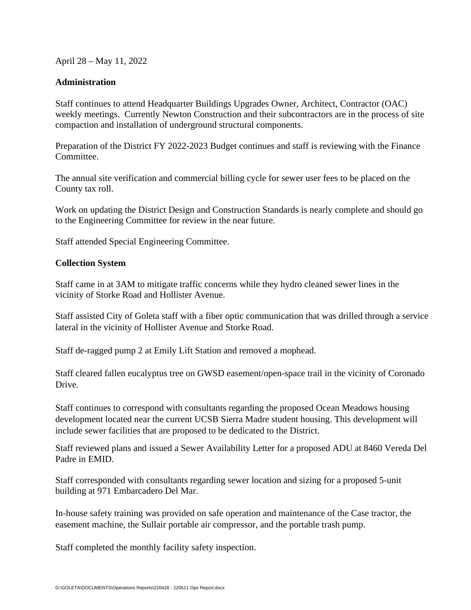April 28 – May 11, 2022

#### **Administration**

Staff continues to attend Headquarter Buildings Upgrades Owner, Architect, Contractor (OAC) weekly meetings. Currently Newton Construction and their subcontractors are in the process of site compaction and installation of underground structural components.

Preparation of the District FY 2022-2023 Budget continues and staff is reviewing with the Finance Committee.

The annual site verification and commercial billing cycle for sewer user fees to be placed on the County tax roll.

Work on updating the District Design and Construction Standards is nearly complete and should go to the Engineering Committee for review in the near future.

Staff attended Special Engineering Committee.

#### **Collection System**

Staff came in at 3AM to mitigate traffic concerns while they hydro cleaned sewer lines in the vicinity of Storke Road and Hollister Avenue.

Staff assisted City of Goleta staff with a fiber optic communication that was drilled through a service lateral in the vicinity of Hollister Avenue and Storke Road.

Staff de-ragged pump 2 at Emily Lift Station and removed a mophead.

Staff cleared fallen eucalyptus tree on GWSD easement/open-space trail in the vicinity of Coronado Drive.

Staff continues to correspond with consultants regarding the proposed Ocean Meadows housing development located near the current UCSB Sierra Madre student housing. This development will include sewer facilities that are proposed to be dedicated to the District.

Staff reviewed plans and issued a Sewer Availability Letter for a proposed ADU at 8460 Vereda Del Padre in EMID.

Staff corresponded with consultants regarding sewer location and sizing for a proposed 5-unit building at 971 Embarcadero Del Mar.

In-house safety training was provided on safe operation and maintenance of the Case tractor, the easement machine, the Sullair portable air compressor, and the portable trash pump.

Staff completed the monthly facility safety inspection.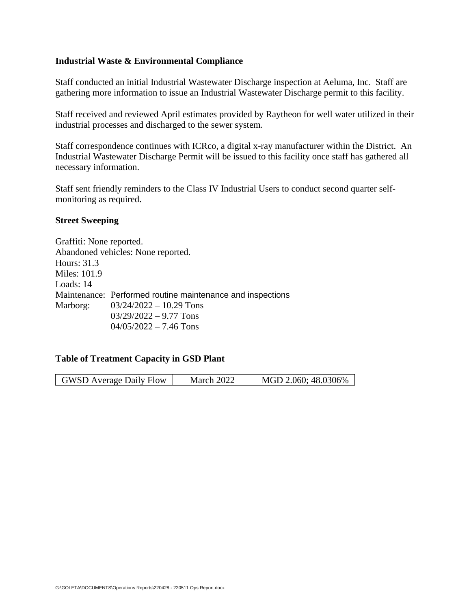#### **Industrial Waste & Environmental Compliance**

Staff conducted an initial Industrial Wastewater Discharge inspection at Aeluma, Inc. Staff are gathering more information to issue an Industrial Wastewater Discharge permit to this facility.

Staff received and reviewed April estimates provided by Raytheon for well water utilized in their industrial processes and discharged to the sewer system.

Staff correspondence continues with ICRco, a digital x-ray manufacturer within the District. An Industrial Wastewater Discharge Permit will be issued to this facility once staff has gathered all necessary information.

Staff sent friendly reminders to the Class IV Industrial Users to conduct second quarter selfmonitoring as required.

#### **Street Sweeping**

Graffiti: None reported. Abandoned vehicles: None reported. Hours: 31.3 Miles: 101.9 Loads: 14 Maintenance: Performed routine maintenance and inspections Marborg: 03/24/2022 – 10.29 Tons  $03/29/2022 - 9.77$  Tons 04/05/2022 – 7.46 Tons

#### **Table of Treatment Capacity in GSD Plant**

| MGD 2.060; 48.0306%<br><b>GWSD</b> Average Daily Flow<br>March 2022 |
|---------------------------------------------------------------------|
|---------------------------------------------------------------------|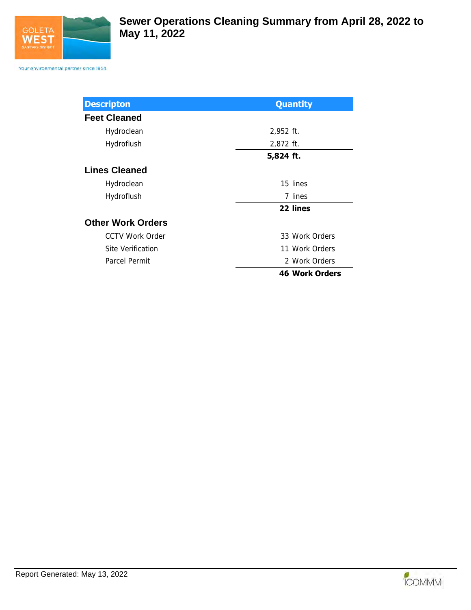

Your environmental partner since 1954

| <b>Descripton</b>        | <b>Quantity</b>       |
|--------------------------|-----------------------|
| <b>Feet Cleaned</b>      |                       |
| Hydroclean               | 2,952 ft.             |
| Hydroflush               | 2,872 ft.             |
|                          | 5,824 ft.             |
| <b>Lines Cleaned</b>     |                       |
| Hydroclean               | 15 lines              |
| Hydroflush               | 7 lines               |
|                          | 22 lines              |
| <b>Other Work Orders</b> |                       |
| <b>CCTV Work Order</b>   | 33 Work Orders        |
| Site Verification        | 11 Work Orders        |
| Parcel Permit            | 2 Work Orders         |
|                          | <b>46 Work Orders</b> |

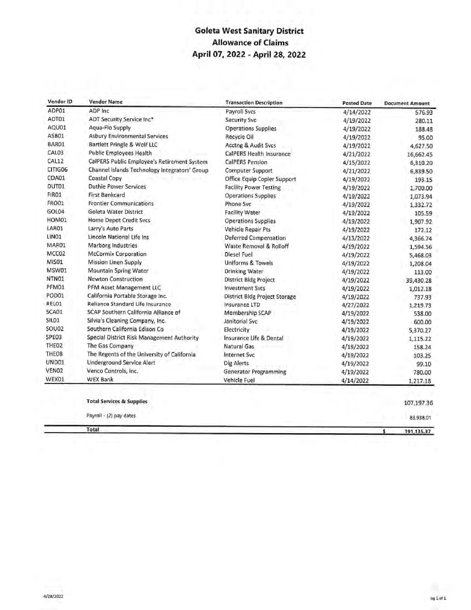## **Goleta West Sanitary District Allowance of Claims** April 07, 2022 - April 28, 2022

| Vendor ID         | <b>Vendor Name</b>                            | <b>Transaction Description</b> | <b>Posted Date</b> | <b>Document Amount</b> |
|-------------------|-----------------------------------------------|--------------------------------|--------------------|------------------------|
| ADP01             | ADP Inc                                       | <b>Payroll Svcs</b>            | 4/14/2022          | 576.93                 |
| ADT01             | ADT Security Service Inc*                     | <b>Security Svc</b>            | 4/19/2022          | 280.11                 |
| AQU01             | Aqua-Flo Supply                               | <b>Operations Supplies</b>     | 4/19/2022          | 188.48                 |
| ASB01             | <b>Asbury Environmental Services</b>          | Recycle Oil                    | 4/19/2022          | 95.00                  |
| BAR01             | Bartlett Pringle & Wolf LLC                   | <b>Acctng &amp; Audit Svcs</b> | 4/19/2022          | 4,627.50               |
| CAL03             | <b>Public Employees Health</b>                | CalPERS Health Insurance       | 4/21/2022          | 16,662.45              |
| CAL12             | CalPERS Public Employee's Retirement System   | <b>CalPERS Pension</b>         | 4/15/2022          | 6,310.20               |
| CITIG06           | Channel Islands Technology Integrators' Group | <b>Computer Support</b>        | 4/21/2022          | 6,839.50               |
| COA01             | Coastal Copy                                  | Office Equip Copier Support    | 4/19/2022          | 193.15                 |
| DUT01             | <b>Duthie Power Services</b>                  | <b>Facility Power Testing</b>  | 4/19/2022          | 1,700.00               |
| FIR01             | <b>First Bankcard</b>                         | <b>Operations Supplies</b>     | 4/19/2022          | 1,073.94               |
| <b>FRO01</b>      | <b>Frontier Communications</b>                | <b>Phone Svc</b>               | 4/19/2022          | 1,332.72               |
| GOL04             | Goleta Water District                         | <b>Facility Water</b>          | 4/19/2022          | 105.59                 |
| HOM01             | <b>Home Depot Credit Svcs</b>                 | <b>Operations Supplies</b>     | 4/19/2022          | 1,907.92               |
| LAR01             | Larry's Auto Parts                            | Vehicle Repair Pts             | 4/19/2022          | 172.12                 |
| LINO1             | Lincoln National Life Ins                     | <b>Deferred Compensation</b>   | 4/13/2022          | 4,366.74               |
| MAR01             | <b>Marborg Industries</b>                     | Waste Removal & Rolloff        | 4/19/2022          | 1,594.56               |
| MCC <sub>O2</sub> | <b>McCormix Corporation</b>                   | Diesel Fuel                    | 4/19/2022          | 5,468.03               |
| MIS01             | <b>Mission Linen Supply</b>                   | <b>Uniforms &amp; Towels</b>   | 4/19/2022          | 1,208.04               |
| MSW01             | <b>Mountain Spring Water</b>                  | <b>Drinking Water</b>          | 4/19/2022          | 113.00                 |
| NTNO1             | <b>Newton Construction</b>                    | District Bldg Project          | 4/19/2022          | 39,430.28              |
| PFM01             | PFM Asset Management LLC                      | <b>Investment Sycs</b>         | 4/19/2022          | 1,012.18               |
| POD01             | California Portable Storage Inc.              | District Bldg Project Storage  | 4/19/2022          | 737.93                 |
| RELO1             | Reliance Standard Life Insurance              | Insurance LTD                  | 4/27/2022          | 1,219.73               |
| SCA01             | SCAP Southern California Alliance of          | Membership SCAP                | 4/19/2022          | 538.00                 |
| SILO <sub>1</sub> | Silvia's Cleaning Company, Inc.               | Janitorial Svc                 | 4/19/2022          | 600.00                 |
| SOU02             | Southern California Edison Co                 | Electricity                    | 4/19/2022          | 5,370.27               |
| SPE03             | Special District Risk Management Authority    | Insurance Life & Dental        | 4/19/2022          | 1,115.22               |
| THE <sub>O2</sub> | The Gas Company                               | Natural Gas                    | 4/19/2022          | 158.24                 |
| THEO8             | The Regents of the University of California   | <b>Internet Svc</b>            | 4/19/2022          | 103.25                 |
| UND01             | <b>Underground Service Alert</b>              | <b>Dig Alerts</b>              | 4/19/2022          | 99.10                  |
| VENO <sub>2</sub> | Venco Controls, Inc.                          | <b>Generator Programming</b>   | 4/19/2022          | 780.00                 |
| WEX01             | <b>WEX Bank</b>                               | Vehicle Fuel                   | 4/14/2022          | 1,217.18               |
|                   |                                               |                                |                    |                        |
|                   | <b>Total Services &amp; Supplies</b>          |                                |                    | 107,197.36             |
|                   | Payroll - (2) pay dates                       |                                |                    | 83,938.01              |
|                   | Total                                         |                                |                    | \$<br>191,135.37       |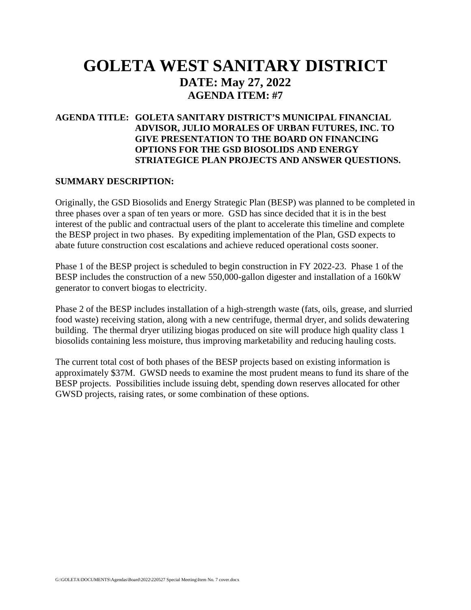## **GOLETA WEST SANITARY DISTRICT DATE: May 27, 2022 AGENDA ITEM: #7**

### **AGENDA TITLE: GOLETA SANITARY DISTRICT'S MUNICIPAL FINANCIAL ADVISOR, JULIO MORALES OF URBAN FUTURES, INC. TO GIVE PRESENTATION TO THE BOARD ON FINANCING OPTIONS FOR THE GSD BIOSOLIDS AND ENERGY STRIATEGICE PLAN PROJECTS AND ANSWER QUESTIONS.**

#### **SUMMARY DESCRIPTION:**

Originally, the GSD Biosolids and Energy Strategic Plan (BESP) was planned to be completed in three phases over a span of ten years or more. GSD has since decided that it is in the best interest of the public and contractual users of the plant to accelerate this timeline and complete the BESP project in two phases. By expediting implementation of the Plan, GSD expects to abate future construction cost escalations and achieve reduced operational costs sooner.

Phase 1 of the BESP project is scheduled to begin construction in FY 2022-23. Phase 1 of the BESP includes the construction of a new 550,000-gallon digester and installation of a 160kW generator to convert biogas to electricity.

Phase 2 of the BESP includes installation of a high-strength waste (fats, oils, grease, and slurried food waste) receiving station, along with a new centrifuge, thermal dryer, and solids dewatering building. The thermal dryer utilizing biogas produced on site will produce high quality class 1 biosolids containing less moisture, thus improving marketability and reducing hauling costs.

The current total cost of both phases of the BESP projects based on existing information is approximately \$37M. GWSD needs to examine the most prudent means to fund its share of the BESP projects. Possibilities include issuing debt, spending down reserves allocated for other GWSD projects, raising rates, or some combination of these options.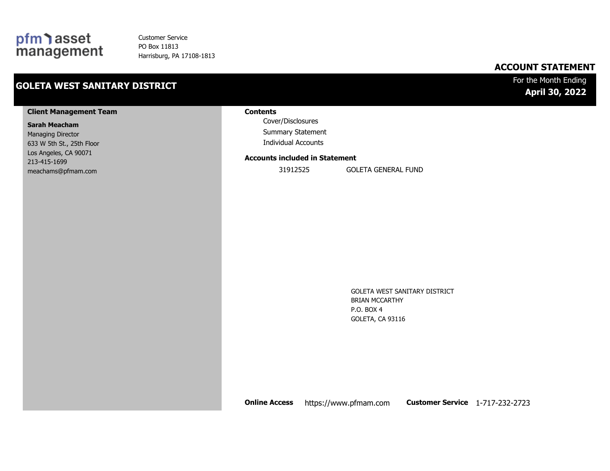## pfm asset<br>management

Customer Service PO Box 11813 Harrisburg, PA 17108-1813

## **GOLETA WEST SANITARY DISTRICT**

## **ACCOUNT STATEMENT**

### For the Month Ending **April 30, 2022**

#### **Client Management Team**

#### **Sarah Meacham**

Managing Director 633 W 5th St., 25th Floor Los Angeles, CA 90071 213-415-1699 meachams@pfmam.com

#### **Contents**

Cover/Disclosures Summary Statement Individual Accounts

#### **Accounts included in Statement**

31912525 GOLETA GENERAL FUND

GOLETA WEST SANITARY DISTRICT BRIAN MCCARTHY P.O. BOX 4 GOLETA, CA 93116

**Online Access** https://www.pfmam.com **Customer Service** 1-717-232-2723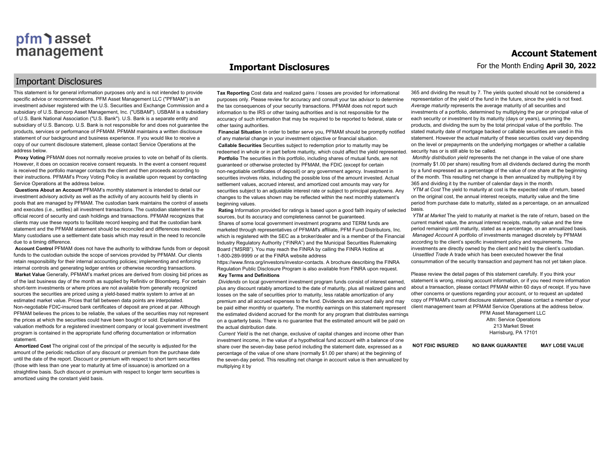#### **Important Disclosures**

#### Important Disclosures

This statement is for general information purposes only and is not intended to provide specific advice or recommendations. PFM Asset Management LLC ("PFMAM") is an investment adviser registered with the U.S. Securities and Exchange Commission and a subsidiary of U.S. Bancorp Asset Management, Inc. ("USBAM"). USBAM is a subsidiary of U.S. Bank National Association ("U.S. Bank"). U.S. Bank is a separate entity and subsidiary of U.S. Bancorp. U.S. Bank is not responsible for and does not guarantee the products, services or performance of PFMAM. PFMAM maintains a written disclosure statement of our background and business experience. If you would like to receive a copy of our current disclosure statement, please contact Service Operations at the address below.

**Proxy Voting** PFMAM does not normally receive proxies to vote on behalf of its clients. However, it does on occasion receive consent requests. In the event a consent request is received the portfolio manager contacts the client and then proceeds according to their instructions. PFMAM's Proxy Voting Policy is available upon request by contacting Service Operations at the address below.

**Questions About an Account** PFMAM's monthly statement is intended to detail our investment advisory activity as well as the activity of any accounts held by clients in pools that are managed by PFMAM. The custodian bank maintains the control of assets and executes (i.e., settles) all investment transactions. The custodian statement is the official record of security and cash holdings and transactions. PFMAM recognizes that clients may use these reports to facilitate record keeping and that the custodian bank statement and the PFMAM statement should be reconciled and differences resolved. Many custodians use a settlement date basis which may result in the need to reconcile due to a timing difference.

**Account Control** PFMAM does not have the authority to withdraw funds from or deposit funds to the custodian outside the scope of services provided by PFMAM. Our clients retain responsibility for their internal accounting policies; implementing and enforcing internal controls and generating ledger entries or otherwise recording transactions. **Market Value** Generally, PFMAM's market prices are derived from closing bid prices as of the last business day of the month as supplied by Refinitiv or Bloomberg. For certain short-term investments or where prices are not available from generally recognized sources the securities are priced using a yield-based matrix system to arrive at an estimated market value. Prices that fall between data points are interpolated. Non-negotiable FDIC-insured bank certificates of deposit are priced at par. Although PFMAM believes the prices to be reliable, the values of the securities may not represent the prices at which the securities could have been bought or sold. Explanation of the valuation methods for a registered investment company or local government investment program is contained in the appropriate fund offering documentation or information statement.

**Amortized Cost** The original cost of the principal of the security is adjusted for the amount of the periodic reduction of any discount or premium from the purchase date until the date of the report. Discount or premium with respect to short term securities (those with less than one year to maturity at time of issuance) is amortized on a straightline basis. Such discount or premium with respect to longer term securities is amortized using the constant yield basis.

**Tax Reporting** Cost data and realized gains / losses are provided for informational purposes only. Please review for accuracy and consult your tax advisor to determine the tax consequences of your security transactions. PFMAM does not report such information to the IRS or other taxing authorities and is not responsible for the accuracy of such information that may be required to be reported to federal, state or other taxing authorities.

**Financial Situation** In order to better serve you, PFMAM should be promptly notified of any material change in your investment objective or financial situation. **Callable Securities** Securities subject to redemption prior to maturity may be redeemed in whole or in part before maturity, which could affect the yield represented. **Portfolio** The securities in this portfolio, including shares of mutual funds, are not guaranteed or otherwise protected by PFMAM, the FDIC (except for certain non-negotiable certificates of deposit) or any government agency. Investment in securities involves risks, including the possible loss of the amount invested. Actual settlement values, accrued interest, and amortized cost amounts may vary for securities subject to an adjustable interest rate or subject to principal paydowns. Any changes to the values shown may be reflected within the next monthly statement's beginning values.

**Rating** Information provided for ratings is based upon a good faith inquiry of selected sources, but its accuracy and completeness cannot be quaranteed Shares of some local government investment programs and TERM funds are marketed through representatives of PFMAM's affiliate, PFM Fund Distributors, Inc. which is registered with the SEC as a broker/dealer and is a member of the Financial Industry Regulatory Authority ("FINRA") and the Municipal Securities Rulemaking Board ("MSRB"). You may reach the FINRA by calling the FINRA Hotline at 1-800-289-9999 or at the FINRA website address

https://www.finra.org/investors/investor-contacts. A brochure describing the FINRA Regulation Public Disclosure Program is also available from FINRA upon request. **Key Terms and Definitions**

*Dividends* on local government investment program funds consist of interest earned, plus any discount ratably amortized to the date of maturity, plus all realized gains and losses on the sale of securities prior to maturity, less ratable amortization of any premium and all accrued expenses to the fund. Dividends are accrued daily and may be paid either monthly or quarterly. The monthly earnings on this statement represent the estimated dividend accrued for the month for any program that distributes earnings on a quarterly basis. There is no guarantee that the estimated amount will be paid on the actual distribution date.

*Current Yield* is the net change, exclusive of capital changes and income other than investment income, in the value of a hypothetical fund account with a balance of one share over the seven-day base period including the statement date, expressed as a percentage of the value of one share (normally \$1.00 per share) at the beginning of the seven-day period. This resulting net change in account value is then annualized by multiplying it by

365 and dividing the result by 7. The yields quoted should not be considered a representation of the yield of the fund in the future, since the yield is not fixed. *Average maturity* represents the average maturity of all securities and investments of a portfolio, determined by multiplying the par or principal value of each security or investment by its maturity (days or years), summing the products, and dividing the sum by the total principal value of the portfolio. The stated maturity date of mortgage backed or callable securities are used in this statement. However the actual maturity of these securities could vary depending on the level or prepayments on the underlying mortgages or whether a callable security has or is still able to be called.

*Monthly distribution yield* represents the net change in the value of one share (normally \$1.00 per share) resulting from all dividends declared during the month by a fund expressed as a percentage of the value of one share at the beginning of the month. This resulting net change is then annualized by multiplying it by 365 and dividing it by the number of calendar days in the month.

*YTM at Cost* The yield to maturity at cost is the expected rate of return, based on the original cost, the annual interest receipts, maturity value and the time period from purchase date to maturity, stated as a percentage, on an annualized basis.

*YTM at Market* The yield to maturity at market is the rate of return, based on the current market value, the annual interest receipts, maturity value and the time period remaining until maturity, stated as a percentage, on an annualized basis. *Managed Account* A portfolio of investments managed discretely by PFMAM according to the client's specific investment policy and requirements. The investments are directly owned by the client and held by the client's custodian. *Unsettled Trade* A trade which has been executed however the final consummation of the security transaction and payment has not yet taken place.

Please review the detail pages of this statement carefully. If you think your statement is wrong, missing account information, or if you need more information about a transaction, please contact PFMAM within 60 days of receipt. If you have other concerns or questions regarding your account, or to request an updated copy of PFMAM's current disclosure statement, please contact a member of your client management team at PFMAM Service Operations at the address below.

> PFM Asset Management LLC Attn: Service Operations 213 Market Street Harrisburg, PA 17101

**NOT FDIC INSURED NO BANK GUARANTEE MAY LOSE VALUE**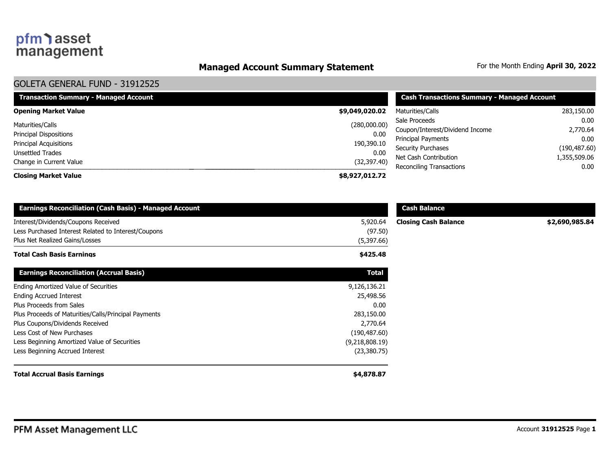## **Managed Account Summary Statement** For the Month Ending April 30, 2022

### GOLETA GENERAL FUND - 31912525

| <b>Transaction Summary - Managed Account</b>            | <b>Cash Transactions Summary - Managed Account</b> |                                                    |                               |  |
|---------------------------------------------------------|----------------------------------------------------|----------------------------------------------------|-------------------------------|--|
| <b>Opening Market Value</b>                             | \$9,049,020.02                                     | Maturities/Calls                                   | 283,150.00                    |  |
| Maturities/Calls                                        | (280,000.00)                                       | Sale Proceeds<br>Coupon/Interest/Dividend Income   | 0.00<br>2,770.64              |  |
| <b>Principal Dispositions</b><br>Principal Acquisitions | 0.00<br>190,390.10                                 | <b>Principal Payments</b>                          | 0.00                          |  |
| Unsettled Trades                                        | 0.00                                               | <b>Security Purchases</b><br>Net Cash Contribution | (190, 487.60)<br>1,355,509.06 |  |
| Change in Current Value                                 | (32, 397.40)                                       | Reconciling Transactions                           | 0.00                          |  |
| <b>Closing Market Value</b>                             | \$8,927,012.72                                     |                                                    |                               |  |

| <b>Earnings Reconciliation (Cash Basis) - Managed Account</b> |                | <b>Cash Balance</b>         |                |  |
|---------------------------------------------------------------|----------------|-----------------------------|----------------|--|
| Interest/Dividends/Coupons Received                           | 5,920.64       | <b>Closing Cash Balance</b> | \$2,690,985.84 |  |
| Less Purchased Interest Related to Interest/Coupons           | (97.50)        |                             |                |  |
| Plus Net Realized Gains/Losses                                | (5,397.66)     |                             |                |  |
| <b>Total Cash Basis Earnings</b>                              | \$425.48       |                             |                |  |
| <b>Earnings Reconciliation (Accrual Basis)</b>                | <b>Total</b>   |                             |                |  |
| Ending Amortized Value of Securities                          | 9,126,136.21   |                             |                |  |
| <b>Ending Accrued Interest</b>                                | 25,498.56      |                             |                |  |
| Plus Proceeds from Sales                                      | 0.00           |                             |                |  |
| Plus Proceeds of Maturities/Calls/Principal Payments          | 283,150.00     |                             |                |  |
| Plus Coupons/Dividends Received                               | 2,770.64       |                             |                |  |
| Less Cost of New Purchases                                    | (190, 487.60)  |                             |                |  |
| Less Beginning Amortized Value of Securities                  | (9,218,808.19) |                             |                |  |
| Less Beginning Accrued Interest                               | (23, 380.75)   |                             |                |  |
| <b>Total Accrual Basis Earnings</b>                           | \$4,878.87     |                             |                |  |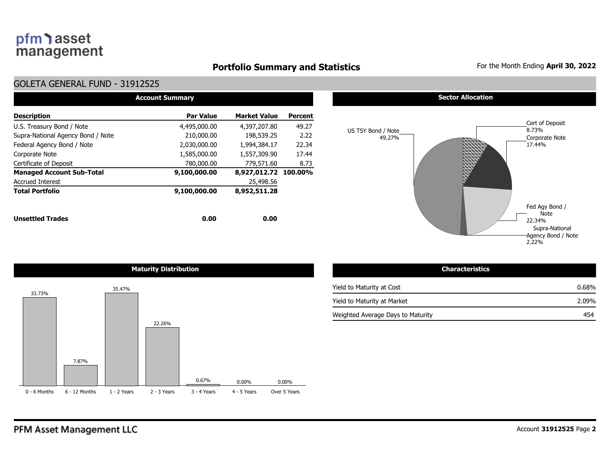## **Portfolio Summary and Statistics** For the Month Ending April 30, 2022

### GOLETA GENERAL FUND - 31912525

| <b>Account Summary</b>            |                  |                      |                |  |  |  |  |  |  |  |  |
|-----------------------------------|------------------|----------------------|----------------|--|--|--|--|--|--|--|--|
| <b>Description</b>                | <b>Par Value</b> | <b>Market Value</b>  | <b>Percent</b> |  |  |  |  |  |  |  |  |
| U.S. Treasury Bond / Note         | 4,495,000.00     | 4,397,207.80         | 49.27          |  |  |  |  |  |  |  |  |
| Supra-National Agency Bond / Note | 210,000.00       | 198,539.25           | 2.22           |  |  |  |  |  |  |  |  |
| Federal Agency Bond / Note        | 2,030,000.00     | 1,994,384.17         | 22.34          |  |  |  |  |  |  |  |  |
| Corporate Note                    | 1,585,000.00     | 1,557,309.90         | 17.44          |  |  |  |  |  |  |  |  |
| Certificate of Deposit            | 780,000,00       | 779,571.60           | 8.73           |  |  |  |  |  |  |  |  |
| <b>Managed Account Sub-Total</b>  | 9,100,000.00     | 8,927,012.72 100.00% |                |  |  |  |  |  |  |  |  |
| <b>Accrued Interest</b>           |                  | 25,498.56            |                |  |  |  |  |  |  |  |  |
| <b>Total Portfolio</b>            | 9,100,000.00     | 8,952,511.28         |                |  |  |  |  |  |  |  |  |
| <b>Unsettled Trades</b>           | 0.00             | 0.00                 |                |  |  |  |  |  |  |  |  |





| <b>Characteristics</b>            |       |
|-----------------------------------|-------|
| Yield to Maturity at Cost         | 0.68% |
| Yield to Maturity at Market       | 2.09% |
| Weighted Average Days to Maturity | 454   |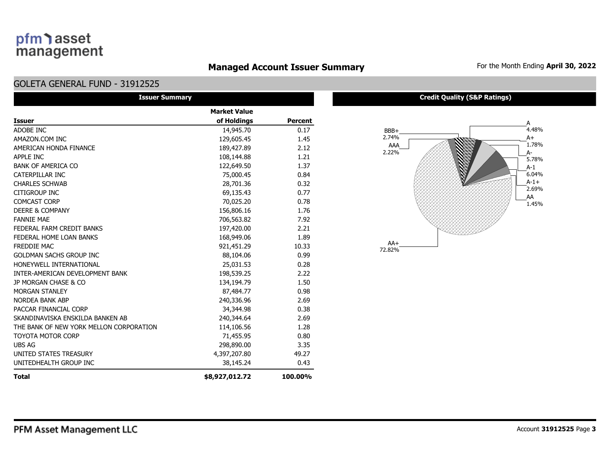## **Managed Account Issuer Summary** For the Month Ending April 30, 2022

### GOLETA GENERAL FUND - 31912525

| <b>Issuer Summary</b>                   |                     |                |
|-----------------------------------------|---------------------|----------------|
|                                         | <b>Market Value</b> |                |
| <b>Issuer</b>                           | of Holdings         | <b>Percent</b> |
| ADOBE INC                               | 14,945.70           | 0.17           |
| AMAZON.COM INC                          | 129,605.45          | 1.45           |
| AMERICAN HONDA FINANCE                  | 189,427.89          | 2.12           |
| APPLE INC                               | 108,144.88          | 1.21           |
| <b>BANK OF AMERICA CO</b>               | 122,649.50          | 1.37           |
| CATERPILLAR INC                         | 75,000.45           | 0.84           |
| <b>CHARLES SCHWAB</b>                   | 28,701.36           | 0.32           |
| <b>CITIGROUP INC</b>                    | 69,135.43           | 0.77           |
| <b>COMCAST CORP</b>                     | 70,025.20           | 0.78           |
| <b>DEERE &amp; COMPANY</b>              | 156,806.16          | 1.76           |
| <b>FANNIE MAE</b>                       | 706,563.82          | 7.92           |
| FEDERAL FARM CREDIT BANKS               | 197,420.00          | 2.21           |
| FEDERAL HOME LOAN BANKS                 | 168,949.06          | 1.89           |
| FREDDIE MAC                             | 921,451.29          | 10.33          |
| <b>GOLDMAN SACHS GROUP INC</b>          | 88,104.06           | 0.99           |
| HONEYWELL INTERNATIONAL                 | 25,031.53           | 0.28           |
| INTER-AMERICAN DEVELOPMENT BANK         | 198,539.25          | 2.22           |
| JP MORGAN CHASE & CO                    | 134,194.79          | 1.50           |
| <b>MORGAN STANLEY</b>                   | 87,484.77           | 0.98           |
| NORDEA BANK ABP                         | 240,336.96          | 2.69           |
| PACCAR FINANCIAL CORP                   | 34,344.98           | 0.38           |
| SKANDINAVISKA ENSKILDA BANKEN AB        | 240,344.64          | 2.69           |
| THE BANK OF NEW YORK MELLON CORPORATION | 114,106.56          | 1.28           |
| <b>TOYOTA MOTOR CORP</b>                | 71,455.95           | 0.80           |
| <b>UBS AG</b>                           | 298,890.00          | 3.35           |
| UNITED STATES TREASURY                  | 4,397,207.80        | 49.27          |
| UNITEDHEALTH GROUP INC                  | 38,145.24           | 0.43           |
| <b>Total</b>                            | \$8,927,012.72      | 100.00%        |

#### **Credit Quality (S&P Ratings)**

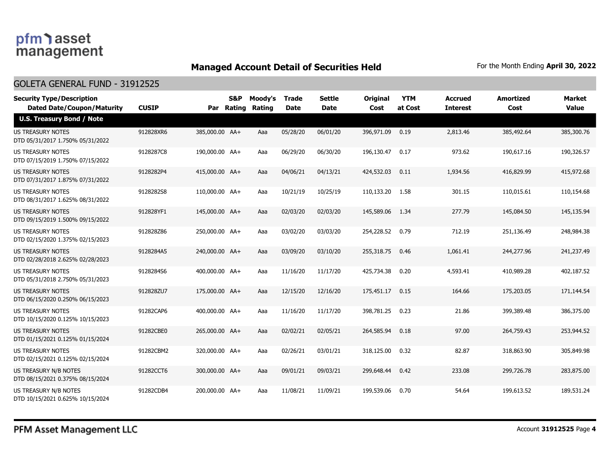## **Managed Account Detail of Securities Held** For the Month Ending April 30, 2022

#### GOLETA GENERAL FUND - 31912525

| <b>Security Type/Description</b><br><b>Dated Date/Coupon/Maturity</b> | <b>CUSIP</b> |                | <b>S&amp;P</b><br>Par Rating | Moody's<br>Rating | <b>Trade</b><br><b>Date</b> | <b>Settle</b><br><b>Date</b> | <b>Original</b><br>Cost | <b>YTM</b><br>at Cost | <b>Accrued</b><br><b>Interest</b> | Amortized<br>Cost | <b>Market</b><br><b>Value</b> |
|-----------------------------------------------------------------------|--------------|----------------|------------------------------|-------------------|-----------------------------|------------------------------|-------------------------|-----------------------|-----------------------------------|-------------------|-------------------------------|
| <b>U.S. Treasury Bond / Note</b>                                      |              |                |                              |                   |                             |                              |                         |                       |                                   |                   |                               |
| <b>US TREASURY NOTES</b><br>DTD 05/31/2017 1.750% 05/31/2022          | 912828XR6    | 385,000.00 AA+ |                              | Aaa               | 05/28/20                    | 06/01/20                     | 396,971.09              | 0.19                  | 2,813.46                          | 385,492.64        | 385,300.76                    |
| <b>US TREASURY NOTES</b><br>DTD 07/15/2019 1.750% 07/15/2022          | 9128287C8    | 190,000.00 AA+ |                              | Aaa               | 06/29/20                    | 06/30/20                     | 196,130.47              | 0.17                  | 973.62                            | 190,617.16        | 190,326.57                    |
| <b>US TREASURY NOTES</b><br>DTD 07/31/2017 1.875% 07/31/2022          | 9128282P4    | 415,000.00 AA+ |                              | Aaa               | 04/06/21                    | 04/13/21                     | 424,532.03              | 0.11                  | 1,934.56                          | 416,829.99        | 415,972.68                    |
| US TREASURY NOTES<br>DTD 08/31/2017 1.625% 08/31/2022                 | 9128282S8    | 110,000.00 AA+ |                              | Aaa               | 10/21/19                    | 10/25/19                     | 110,133.20              | - 1.58                | 301.15                            | 110,015.61        | 110,154.68                    |
| <b>US TREASURY NOTES</b><br>DTD 09/15/2019 1.500% 09/15/2022          | 912828YF1    | 145,000.00 AA+ |                              | Aaa               | 02/03/20                    | 02/03/20                     | 145,589.06              | 1.34                  | 277.79                            | 145,084.50        | 145,135.94                    |
| US TREASURY NOTES<br>DTD 02/15/2020 1.375% 02/15/2023                 | 912828Z86    | 250,000.00 AA+ |                              | Aaa               | 03/02/20                    | 03/03/20                     | 254,228.52              | 0.79                  | 712.19                            | 251,136.49        | 248,984.38                    |
| US TREASURY NOTES<br>DTD 02/28/2018 2.625% 02/28/2023                 | 9128284A5    | 240,000.00 AA+ |                              | Aaa               | 03/09/20                    | 03/10/20                     | 255,318.75              | 0.46                  | 1,061.41                          | 244,277.96        | 241,237.49                    |
| US TREASURY NOTES<br>DTD 05/31/2018 2.750% 05/31/2023                 | 9128284S6    | 400,000.00 AA+ |                              | Aaa               | 11/16/20                    | 11/17/20                     | 425,734.38              | 0.20                  | 4,593.41                          | 410,989.28        | 402,187.52                    |
| US TREASURY NOTES<br>DTD 06/15/2020 0.250% 06/15/2023                 | 912828ZU7    | 175,000.00 AA+ |                              | Aaa               | 12/15/20                    | 12/16/20                     | 175,451.17              | 0.15                  | 164.66                            | 175,203.05        | 171,144.54                    |
| <b>US TREASURY NOTES</b><br>DTD 10/15/2020 0.125% 10/15/2023          | 91282CAP6    | 400,000.00 AA+ |                              | Aaa               | 11/16/20                    | 11/17/20                     | 398,781.25              | 0.23                  | 21.86                             | 399,389.48        | 386,375.00                    |
| <b>US TREASURY NOTES</b><br>DTD 01/15/2021 0.125% 01/15/2024          | 91282CBE0    | 265,000.00 AA+ |                              | Aaa               | 02/02/21                    | 02/05/21                     | 264,585.94              | 0.18                  | 97.00                             | 264,759.43        | 253,944.52                    |
| <b>US TREASURY NOTES</b><br>DTD 02/15/2021 0.125% 02/15/2024          | 91282CBM2    | 320,000.00 AA+ |                              | Aaa               | 02/26/21                    | 03/01/21                     | 318,125.00              | 0.32                  | 82.87                             | 318,863.90        | 305,849.98                    |
| <b>US TREASURY N/B NOTES</b><br>DTD 08/15/2021 0.375% 08/15/2024      | 91282CCT6    | 300,000.00 AA+ |                              | Aaa               | 09/01/21                    | 09/03/21                     | 299,648.44              | 0.42                  | 233.08                            | 299,726,78        | 283,875,00                    |
| US TREASURY N/B NOTES<br>DTD 10/15/2021 0.625% 10/15/2024             | 91282CDB4    | 200,000.00 AA+ |                              | Aaa               | 11/08/21                    | 11/09/21                     | 199,539.06              | 0.70                  | 54.64                             | 199,613.52        | 189,531.24                    |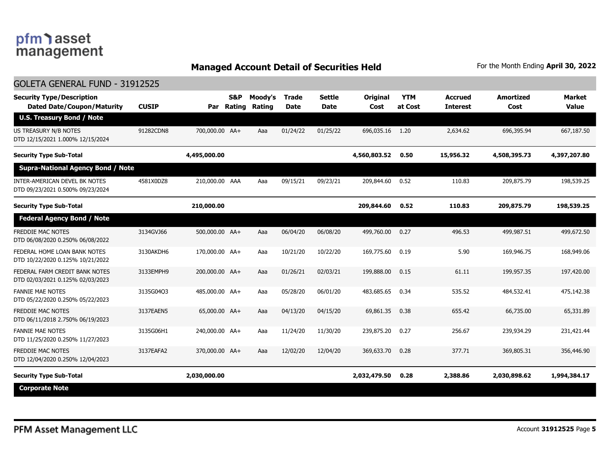GOLETA GENERAL FUND - 31912525

## **Managed Account Detail of Securities Held** For the Month Ending April 30, 2022

| GOLETA GENERAL FUND - 31912525                                        |              |                |                      |                   |                             |                              |                         |                       |                                   |                          |                               |
|-----------------------------------------------------------------------|--------------|----------------|----------------------|-------------------|-----------------------------|------------------------------|-------------------------|-----------------------|-----------------------------------|--------------------------|-------------------------------|
| <b>Security Type/Description</b><br><b>Dated Date/Coupon/Maturity</b> | <b>CUSIP</b> | Par            | S&P<br><b>Rating</b> | Moody's<br>Rating | <b>Trade</b><br><b>Date</b> | <b>Settle</b><br><b>Date</b> | <b>Original</b><br>Cost | <b>YTM</b><br>at Cost | <b>Accrued</b><br><b>Interest</b> | <b>Amortized</b><br>Cost | <b>Market</b><br><b>Value</b> |
| <b>U.S. Treasury Bond / Note</b>                                      |              |                |                      |                   |                             |                              |                         |                       |                                   |                          |                               |
| US TREASURY N/B NOTES<br>DTD 12/15/2021 1.000% 12/15/2024             | 91282CDN8    | 700,000.00 AA+ |                      | Aaa               | 01/24/22                    | 01/25/22                     | 696,035.16              | 1.20                  | 2,634.62                          | 696,395.94               | 667,187.50                    |
| <b>Security Type Sub-Total</b>                                        |              | 4,495,000.00   |                      |                   |                             |                              | 4,560,803.52            | 0.50                  | 15,956.32                         | 4,508,395.73             | 4,397,207.80                  |
| <b>Supra-National Agency Bond / Note</b>                              |              |                |                      |                   |                             |                              |                         |                       |                                   |                          |                               |
| INTER-AMERICAN DEVEL BK NOTES<br>DTD 09/23/2021 0.500% 09/23/2024     | 4581X0DZ8    | 210,000.00 AAA |                      | Aaa               | 09/15/21                    | 09/23/21                     | 209,844.60              | 0.52                  | 110.83                            | 209,875.79               | 198,539.25                    |
| <b>Security Type Sub-Total</b>                                        |              | 210,000.00     |                      |                   |                             |                              | 209,844.60              | 0.52                  | 110.83                            | 209,875.79               | 198,539.25                    |
| <b>Federal Agency Bond / Note</b>                                     |              |                |                      |                   |                             |                              |                         |                       |                                   |                          |                               |
| FREDDIE MAC NOTES<br>DTD 06/08/2020 0.250% 06/08/2022                 | 3134GVJ66    | 500,000.00 AA+ |                      | Aaa               | 06/04/20                    | 06/08/20                     | 499,760.00              | 0.27                  | 496.53                            | 499,987.51               | 499,672.50                    |
| FEDERAL HOME LOAN BANK NOTES<br>DTD 10/22/2020 0.125% 10/21/2022      | 3130AKDH6    | 170,000.00 AA+ |                      | Aaa               | 10/21/20                    | 10/22/20                     | 169,775.60              | 0.19                  | 5.90                              | 169,946.75               | 168,949.06                    |
| FEDERAL FARM CREDIT BANK NOTES<br>DTD 02/03/2021 0.125% 02/03/2023    | 3133EMPH9    | 200,000.00 AA+ |                      | Aaa               | 01/26/21                    | 02/03/21                     | 199,888.00              | 0.15                  | 61.11                             | 199,957.35               | 197,420.00                    |
| <b>FANNIE MAE NOTES</b><br>DTD 05/22/2020 0.250% 05/22/2023           | 3135G04Q3    | 485,000.00 AA+ |                      | Aaa               | 05/28/20                    | 06/01/20                     | 483,685.65              | 0.34                  | 535.52                            | 484,532.41               | 475,142.38                    |
| FREDDIE MAC NOTES<br>DTD 06/11/2018 2.750% 06/19/2023                 | 3137EAEN5    | 65,000.00 AA+  |                      | Aaa               | 04/13/20                    | 04/15/20                     | 69,861.35               | 0.38                  | 655.42                            | 66,735.00                | 65,331.89                     |
| <b>FANNIE MAE NOTES</b><br>DTD 11/25/2020 0.250% 11/27/2023           | 3135G06H1    | 240,000.00 AA+ |                      | Aaa               | 11/24/20                    | 11/30/20                     | 239,875.20              | 0.27                  | 256.67                            | 239,934.29               | 231,421.44                    |
| FREDDIE MAC NOTES<br>DTD 12/04/2020 0.250% 12/04/2023                 | 3137EAFA2    | 370,000.00 AA+ |                      | Aaa               | 12/02/20                    | 12/04/20                     | 369,633.70              | 0.28                  | 377.71                            | 369,805.31               | 356,446.90                    |
| <b>Security Type Sub-Total</b>                                        |              | 2,030,000.00   |                      |                   |                             |                              | 2,032,479.50            | 0.28                  | 2,388.86                          | 2,030,898.62             | 1,994,384.17                  |
| <b>Corporate Note</b>                                                 |              |                |                      |                   |                             |                              |                         |                       |                                   |                          |                               |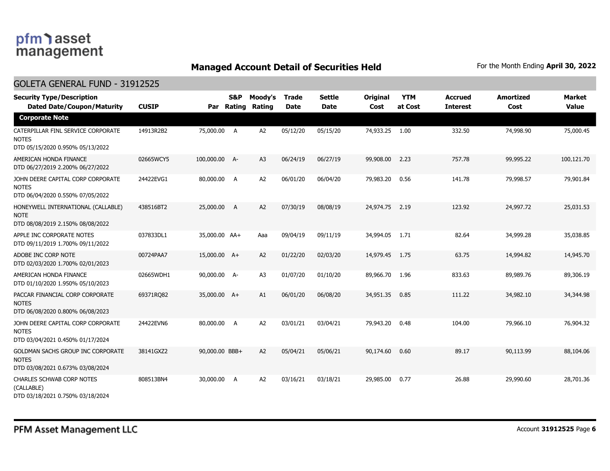## **Managed Account Detail of Securities Held** For the Month Ending April 30, 2022

### GOLETA GENERAL FUND - 31912525

| <b>Security Type/Description</b><br><b>Dated Date/Coupon/Maturity</b>                  | <b>CUSIP</b> | Par            | <b>S&amp;P</b><br>Rating | Moody's<br>Rating | <b>Trade</b><br><b>Date</b> | <b>Settle</b><br><b>Date</b> | Original<br>Cost | <b>YTM</b><br>at Cost | <b>Accrued</b><br><b>Interest</b> | <b>Amortized</b><br>Cost | <b>Market</b><br><b>Value</b> |
|----------------------------------------------------------------------------------------|--------------|----------------|--------------------------|-------------------|-----------------------------|------------------------------|------------------|-----------------------|-----------------------------------|--------------------------|-------------------------------|
| <b>Corporate Note</b>                                                                  |              |                |                          |                   |                             |                              |                  |                       |                                   |                          |                               |
| CATERPILLAR FINL SERVICE CORPORATE<br><b>NOTES</b><br>DTD 05/15/2020 0.950% 05/13/2022 | 14913R2B2    | 75,000.00 A    |                          | A2                | 05/12/20                    | 05/15/20                     | 74,933.25        | 1.00                  | 332.50                            | 74,998.90                | 75,000.45                     |
| AMERICAN HONDA FINANCE<br>DTD 06/27/2019 2.200% 06/27/2022                             | 02665WCY5    | 100,000.00 A-  |                          | A <sub>3</sub>    | 06/24/19                    | 06/27/19                     | 99,908.00        | 2.23                  | 757.78                            | 99,995.22                | 100,121.70                    |
| JOHN DEERE CAPITAL CORP CORPORATE<br><b>NOTES</b><br>DTD 06/04/2020 0.550% 07/05/2022  | 24422EVG1    | 80,000.00      | A                        | A2                | 06/01/20                    | 06/04/20                     | 79,983.20        | 0.56                  | 141.78                            | 79,998.57                | 79,901.84                     |
| HONEYWELL INTERNATIONAL (CALLABLE)<br><b>NOTE</b><br>DTD 08/08/2019 2.150% 08/08/2022  | 438516BT2    | 25,000.00      | A                        | A2                | 07/30/19                    | 08/08/19                     | 24,974.75        | 2.19                  | 123.92                            | 24,997.72                | 25,031.53                     |
| APPLE INC CORPORATE NOTES<br>DTD 09/11/2019 1.700% 09/11/2022                          | 037833DL1    | 35,000.00 AA+  |                          | Aaa               | 09/04/19                    | 09/11/19                     | 34,994.05        | 1.71                  | 82.64                             | 34,999.28                | 35,038.85                     |
| ADOBE INC CORP NOTE<br>DTD 02/03/2020 1.700% 02/01/2023                                | 00724PAA7    | 15,000.00 A+   |                          | A2                | 01/22/20                    | 02/03/20                     | 14,979.45        | 1.75                  | 63.75                             | 14,994.82                | 14,945.70                     |
| AMERICAN HONDA FINANCE<br>DTD 01/10/2020 1.950% 05/10/2023                             | 02665WDH1    | 90,000.00 A-   |                          | A <sub>3</sub>    | 01/07/20                    | 01/10/20                     | 89,966.70        | 1.96                  | 833.63                            | 89,989.76                | 89,306.19                     |
| PACCAR FINANCIAL CORP CORPORATE<br><b>NOTES</b><br>DTD 06/08/2020 0.800% 06/08/2023    | 69371RQ82    | 35,000.00 A+   |                          | A1                | 06/01/20                    | 06/08/20                     | 34,951.35        | 0.85                  | 111.22                            | 34,982.10                | 34,344.98                     |
| JOHN DEERE CAPITAL CORP CORPORATE<br><b>NOTES</b><br>DTD 03/04/2021 0.450% 01/17/2024  | 24422EVN6    | 80,000.00      | A                        | A2                | 03/01/21                    | 03/04/21                     | 79,943.20        | 0.48                  | 104.00                            | 79,966.10                | 76,904.32                     |
| GOLDMAN SACHS GROUP INC CORPORATE<br><b>NOTES</b><br>DTD 03/08/2021 0.673% 03/08/2024  | 38141GXZ2    | 90,000.00 BBB+ |                          | A2                | 05/04/21                    | 05/06/21                     | 90,174.60        | 0.60                  | 89.17                             | 90,113.99                | 88,104.06                     |
| <b>CHARLES SCHWAB CORP NOTES</b><br>(CALLABLE)<br>DTD 03/18/2021 0.750% 03/18/2024     | 808513BN4    | 30,000.00      | A                        | A <sub>2</sub>    | 03/16/21                    | 03/18/21                     | 29,985.00        | 0.77                  | 26.88                             | 29,990.60                | 28,701.36                     |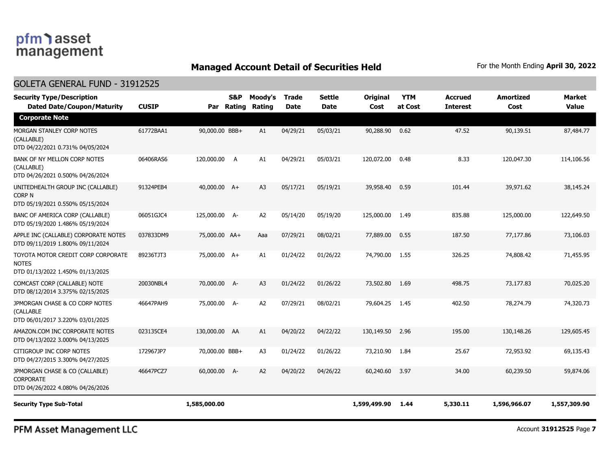## **Managed Account Detail of Securities Held** For the Month Ending April 30, 2022

### GOLETA GENERAL FUND - 31912525

| <b>Security Type/Description</b><br><b>Dated Date/Coupon/Maturity</b>                  | <b>CUSIP</b> | Par            | <b>S&amp;P</b><br>Rating | Moody's<br>Rating | <b>Trade</b><br><b>Date</b> | <b>Settle</b><br><b>Date</b> | <b>Original</b><br><b>Cost</b> | <b>YTM</b><br>at Cost | Accrued<br><b>Interest</b> | <b>Amortized</b><br>Cost | <b>Market</b><br><b>Value</b> |
|----------------------------------------------------------------------------------------|--------------|----------------|--------------------------|-------------------|-----------------------------|------------------------------|--------------------------------|-----------------------|----------------------------|--------------------------|-------------------------------|
| <b>Corporate Note</b>                                                                  |              |                |                          |                   |                             |                              |                                |                       |                            |                          |                               |
| MORGAN STANLEY CORP NOTES<br>(CALLABLE)<br>DTD 04/22/2021 0.731% 04/05/2024            | 61772BAA1    | 90,000.00 BBB+ |                          | A1                | 04/29/21                    | 05/03/21                     | 90,288.90                      | 0.62                  | 47.52                      | 90,139.51                | 87,484.77                     |
| BANK OF NY MELLON CORP NOTES<br>(CALLABLE)<br>DTD 04/26/2021 0.500% 04/26/2024         | 06406RAS6    | 120,000.00 A   |                          | A1                | 04/29/21                    | 05/03/21                     | 120,072.00                     | 0.48                  | 8.33                       | 120,047.30               | 114,106.56                    |
| UNITEDHEALTH GROUP INC (CALLABLE)<br><b>CORP N</b><br>DTD 05/19/2021 0.550% 05/15/2024 | 91324PEB4    | 40,000.00 A+   |                          | A <sub>3</sub>    | 05/17/21                    | 05/19/21                     | 39,958,40                      | 0.59                  | 101.44                     | 39,971.62                | 38,145.24                     |
| BANC OF AMERICA CORP (CALLABLE)<br>DTD 05/19/2020 1.486% 05/19/2024                    | 06051GJC4    | 125,000.00 A-  |                          | A <sub>2</sub>    | 05/14/20                    | 05/19/20                     | 125,000.00                     | 1.49                  | 835.88                     | 125,000.00               | 122,649.50                    |
| APPLE INC (CALLABLE) CORPORATE NOTES<br>DTD 09/11/2019 1.800% 09/11/2024               | 037833DM9    | 75,000.00 AA+  |                          | Aaa               | 07/29/21                    | 08/02/21                     | 77,889.00                      | 0.55                  | 187.50                     | 77,177.86                | 73,106.03                     |
| TOYOTA MOTOR CREDIT CORP CORPORATE<br><b>NOTES</b><br>DTD 01/13/2022 1.450% 01/13/2025 | 89236TJT3    | 75,000.00 A+   |                          | A1                | 01/24/22                    | 01/26/22                     | 74,790.00                      | 1.55                  | 326.25                     | 74,808.42                | 71,455.95                     |
| COMCAST CORP (CALLABLE) NOTE<br>DTD 08/12/2014 3.375% 02/15/2025                       | 20030NBL4    | 70,000.00 A-   |                          | A <sub>3</sub>    | 01/24/22                    | 01/26/22                     | 73,502.80                      | 1.69                  | 498.75                     | 73,177.83                | 70,025.20                     |
| JPMORGAN CHASE & CO CORP NOTES<br>(CALLABLE<br>DTD 06/01/2017 3.220% 03/01/2025        | 46647PAH9    | 75,000.00 A-   |                          | A <sub>2</sub>    | 07/29/21                    | 08/02/21                     | 79,604.25                      | 1.45                  | 402.50                     | 78,274.79                | 74,320.73                     |
| AMAZON.COM INC CORPORATE NOTES<br>DTD 04/13/2022 3.000% 04/13/2025                     | 023135CE4    | 130,000.00 AA  |                          | A1                | 04/20/22                    | 04/22/22                     | 130,149.50                     | 2.96                  | 195.00                     | 130,148.26               | 129,605.45                    |
| CITIGROUP INC CORP NOTES<br>DTD 04/27/2015 3.300% 04/27/2025                           | 172967JP7    | 70,000.00 BBB+ |                          | A3                | 01/24/22                    | 01/26/22                     | 73,210.90                      | 1.84                  | 25.67                      | 72,953.92                | 69,135.43                     |
| JPMORGAN CHASE & CO (CALLABLE)<br><b>CORPORATE</b><br>DTD 04/26/2022 4.080% 04/26/2026 | 46647PCZ7    | 60,000.00 A-   |                          | A <sub>2</sub>    | 04/20/22                    | 04/26/22                     | 60,240.60                      | 3.97                  | 34.00                      | 60,239.50                | 59,874.06                     |
| <b>Security Type Sub-Total</b>                                                         |              | 1,585,000.00   |                          |                   |                             |                              | 1,599,499.90                   | 1.44                  | 5,330.11                   | 1,596,966.07             | 1,557,309.90                  |

PFM Asset Management LLC

Account **31912525** Page **7**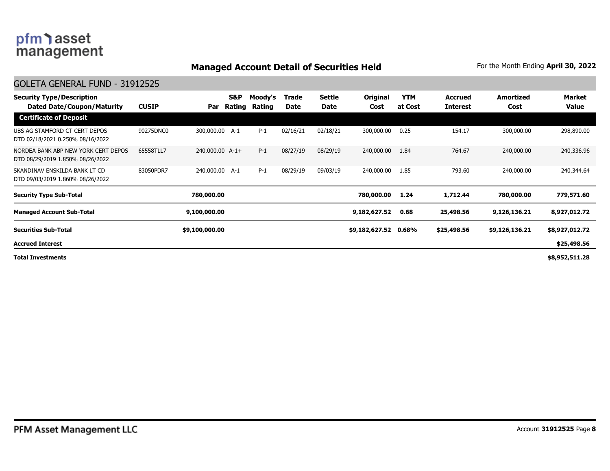## **Managed Account Detail of Securities Held** For the Month Ending April 30, 2022

#### GOLETA GENERAL FUND - 31912525

| <b>Security Type/Description</b><br>Dated Date/Coupon/Maturity          | <b>CUSIP</b> | Par             | S&P<br>Rating | Moody's<br>Rating | Trade<br>Date | <b>Settle</b><br>Date | Original<br>Cost | <b>YTM</b><br>at Cost | <b>Accrued</b><br><b>Interest</b> | Amortized<br>Cost | Market<br>Value |
|-------------------------------------------------------------------------|--------------|-----------------|---------------|-------------------|---------------|-----------------------|------------------|-----------------------|-----------------------------------|-------------------|-----------------|
| <b>Certificate of Deposit</b>                                           |              |                 |               |                   |               |                       |                  |                       |                                   |                   |                 |
| UBS AG STAMFORD CT CERT DEPOS<br>DTD 02/18/2021 0.250% 08/16/2022       | 90275DNC0    | 300,000.00 A-1  |               | $P-1$             | 02/16/21      | 02/18/21              | 300,000.00       | 0.25                  | 154.17                            | 300,000.00        | 298,890.00      |
| NORDEA BANK ABP NEW YORK CERT DEPOS<br>DTD 08/29/2019 1.850% 08/26/2022 | 65558TLL7    | 240,000.00 A-1+ |               | $P-1$             | 08/27/19      | 08/29/19              | 240,000.00       | 1.84                  | 764.67                            | 240,000,00        | 240,336.96      |
| SKANDINAV ENSKILDA BANK LT CD<br>DTD 09/03/2019 1.860% 08/26/2022       | 83050PDR7    | 240,000.00 A-1  |               | $P-1$             | 08/29/19      | 09/03/19              | 240,000.00       | 1.85                  | 793.60                            | 240,000.00        | 240,344.64      |
| <b>Security Type Sub-Total</b>                                          |              | 780,000.00      |               |                   |               |                       | 780,000.00       | 1.24                  | 1,712.44                          | 780,000.00        | 779,571.60      |
| <b>Managed Account Sub-Total</b>                                        |              | 9,100,000.00    |               |                   |               |                       | 9,182,627.52     | 0.68                  | 25,498.56                         | 9,126,136.21      | 8,927,012.72    |
| <b>Securities Sub-Total</b>                                             |              | \$9,100,000.00  |               |                   |               |                       | \$9,182,627.52   | 0.68%                 | \$25,498.56                       | \$9,126,136.21    | \$8,927,012.72  |
| <b>Accrued Interest</b>                                                 |              |                 |               |                   |               |                       |                  |                       |                                   |                   | \$25,498.56     |
| <b>Total Investments</b>                                                |              |                 |               |                   |               |                       |                  |                       |                                   |                   | \$8,952,511.28  |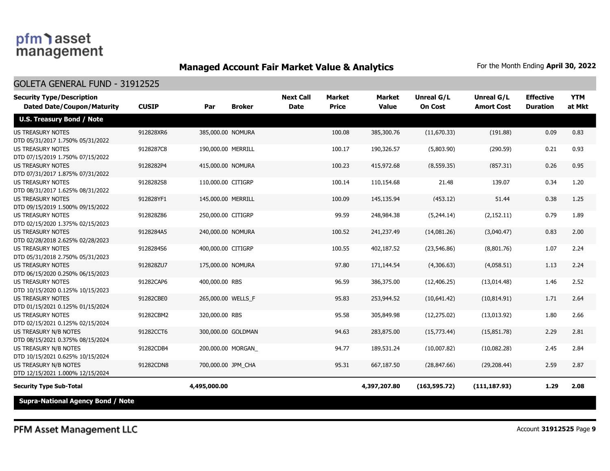## **Managed Account Fair Market Value & Analytics** For the Month Ending April 30, 2022

#### GOLETA GENERAL FUND - 31912525

| <b>Security Type/Description</b><br><b>Dated Date/Coupon/Maturity</b> | <b>CUSIP</b> | Par                | <b>Broker</b> | <b>Next Call</b><br><b>Date</b> | <b>Market</b><br><b>Price</b> | <b>Market</b><br><b>Value</b> | <b>Unreal G/L</b><br><b>On Cost</b> | Unreal G/L<br><b>Amort Cost</b> | <b>Effective</b><br><b>Duration</b> | <b>YTM</b><br>at Mkt |
|-----------------------------------------------------------------------|--------------|--------------------|---------------|---------------------------------|-------------------------------|-------------------------------|-------------------------------------|---------------------------------|-------------------------------------|----------------------|
| <b>U.S. Treasury Bond / Note</b>                                      |              |                    |               |                                 |                               |                               |                                     |                                 |                                     |                      |
| <b>US TREASURY NOTES</b><br>DTD 05/31/2017 1.750% 05/31/2022          | 912828XR6    | 385,000.00 NOMURA  |               |                                 | 100.08                        | 385,300.76                    | (11,670.33)                         | (191.88)                        | 0.09                                | 0.83                 |
| <b>US TREASURY NOTES</b><br>DTD 07/15/2019 1.750% 07/15/2022          | 9128287C8    | 190,000.00 MERRILL |               |                                 | 100.17                        | 190,326.57                    | (5,803.90)                          | (290.59)                        | 0.21                                | 0.93                 |
| <b>US TREASURY NOTES</b><br>DTD 07/31/2017 1.875% 07/31/2022          | 9128282P4    | 415,000.00 NOMURA  |               |                                 | 100.23                        | 415,972.68                    | (8, 559.35)                         | (857.31)                        | 0.26                                | 0.95                 |
| <b>US TREASURY NOTES</b><br>DTD 08/31/2017 1.625% 08/31/2022          | 9128282S8    | 110,000.00 CITIGRP |               |                                 | 100.14                        | 110,154.68                    | 21.48                               | 139.07                          | 0.34                                | 1.20                 |
| <b>US TREASURY NOTES</b><br>DTD 09/15/2019 1.500% 09/15/2022          | 912828YF1    | 145,000.00 MERRILL |               |                                 | 100.09                        | 145,135.94                    | (453.12)                            | 51.44                           | 0.38                                | 1.25                 |
| <b>US TREASURY NOTES</b><br>DTD 02/15/2020 1.375% 02/15/2023          | 912828Z86    | 250,000.00 CITIGRP |               |                                 | 99.59                         | 248,984.38                    | (5,244.14)                          | (2, 152.11)                     | 0.79                                | 1.89                 |
| <b>US TREASURY NOTES</b><br>DTD 02/28/2018 2.625% 02/28/2023          | 9128284A5    | 240,000.00 NOMURA  |               |                                 | 100.52                        | 241,237.49                    | (14,081.26)                         | (3,040.47)                      | 0.83                                | 2.00                 |
| <b>US TREASURY NOTES</b><br>DTD 05/31/2018 2.750% 05/31/2023          | 9128284S6    | 400,000.00 CITIGRP |               |                                 | 100.55                        | 402,187.52                    | (23, 546.86)                        | (8,801.76)                      | 1.07                                | 2.24                 |
| US TREASURY NOTES<br>DTD 06/15/2020 0.250% 06/15/2023                 | 912828ZU7    | 175,000.00 NOMURA  |               |                                 | 97.80                         | 171,144.54                    | (4,306.63)                          | (4,058.51)                      | 1.13                                | 2.24                 |
| <b>US TREASURY NOTES</b><br>DTD 10/15/2020 0.125% 10/15/2023          | 91282CAP6    | 400,000.00 RBS     |               |                                 | 96.59                         | 386,375.00                    | (12, 406.25)                        | (13,014.48)                     | 1.46                                | 2.52                 |
| <b>US TREASURY NOTES</b><br>DTD 01/15/2021 0.125% 01/15/2024          | 91282CBE0    | 265,000.00 WELLS_F |               |                                 | 95.83                         | 253,944.52                    | (10,641.42)                         | (10, 814.91)                    | 1.71                                | 2.64                 |
| <b>US TREASURY NOTES</b><br>DTD 02/15/2021 0.125% 02/15/2024          | 91282CBM2    | 320,000.00 RBS     |               |                                 | 95.58                         | 305,849.98                    | (12, 275.02)                        | (13,013.92)                     | 1.80                                | 2.66                 |
| US TREASURY N/B NOTES<br>DTD 08/15/2021 0.375% 08/15/2024             | 91282CCT6    | 300,000.00 GOLDMAN |               |                                 | 94.63                         | 283,875.00                    | (15,773.44)                         | (15,851.78)                     | 2.29                                | 2.81                 |
| US TREASURY N/B NOTES<br>DTD 10/15/2021 0.625% 10/15/2024             | 91282CDB4    | 200,000.00 MORGAN  |               |                                 | 94.77                         | 189,531.24                    | (10,007.82)                         | (10,082.28)                     | 2.45                                | 2.84                 |
| US TREASURY N/B NOTES<br>DTD 12/15/2021 1.000% 12/15/2024             | 91282CDN8    | 700,000.00 JPM CHA |               |                                 | 95.31                         | 667,187.50                    | (28, 847.66)                        | (29, 208.44)                    | 2.59                                | 2.87                 |
| <b>Security Type Sub-Total</b>                                        |              | 4,495,000.00       |               |                                 |                               | 4,397,207.80                  | (163, 595.72)                       | (111, 187.93)                   | 1.29                                | 2.08                 |
| <b>Supra-National Agency Bond / Note</b>                              |              |                    |               |                                 |                               |                               |                                     |                                 |                                     |                      |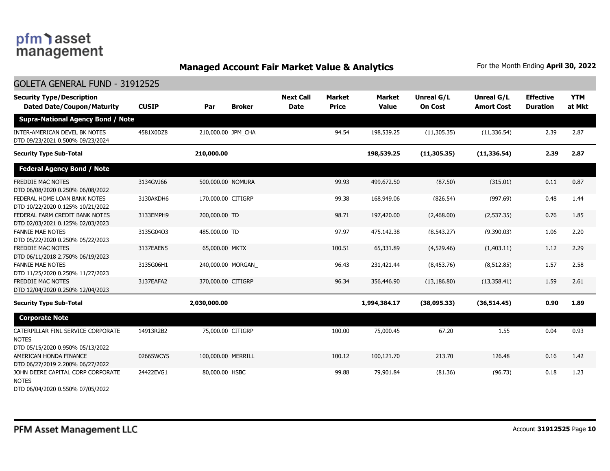# pfm) asset<br>management

GOLETA GENERAL FUND - 31912525

## **Managed Account Fair Market Value & Analytics** For the Month Ending April 30, 2022

| GULETA GENEKAL FUND - 31912525                                                         |              |                      |                                 |                               |                               |                              |                                 |                                     |                      |
|----------------------------------------------------------------------------------------|--------------|----------------------|---------------------------------|-------------------------------|-------------------------------|------------------------------|---------------------------------|-------------------------------------|----------------------|
| <b>Security Type/Description</b><br><b>Dated Date/Coupon/Maturity</b>                  | <b>CUSIP</b> | <b>Broker</b><br>Par | <b>Next Call</b><br><b>Date</b> | <b>Market</b><br><b>Price</b> | <b>Market</b><br><b>Value</b> | Unreal G/L<br><b>On Cost</b> | Unreal G/L<br><b>Amort Cost</b> | <b>Effective</b><br><b>Duration</b> | <b>YTM</b><br>at Mkt |
| <b>Supra-National Agency Bond / Note</b>                                               |              |                      |                                 |                               |                               |                              |                                 |                                     |                      |
| INTER-AMERICAN DEVEL BK NOTES<br>DTD 09/23/2021 0.500% 09/23/2024                      | 4581X0DZ8    | 210,000.00 JPM CHA   |                                 | 94.54                         | 198,539.25                    | (11, 305.35)                 | (11, 336.54)                    | 2.39                                | 2.87                 |
| <b>Security Type Sub-Total</b>                                                         |              | 210,000.00           |                                 |                               | 198,539.25                    | (11, 305.35)                 | (11, 336.54)                    | 2.39                                | 2.87                 |
| <b>Federal Agency Bond / Note</b>                                                      |              |                      |                                 |                               |                               |                              |                                 |                                     |                      |
| FREDDIE MAC NOTES<br>DTD 06/08/2020 0.250% 06/08/2022                                  | 3134GVJ66    | 500,000.00 NOMURA    |                                 | 99.93                         | 499,672.50                    | (87.50)                      | (315.01)                        | 0.11                                | 0.87                 |
| FEDERAL HOME LOAN BANK NOTES<br>DTD 10/22/2020 0.125% 10/21/2022                       | 3130AKDH6    | 170,000.00 CITIGRP   |                                 | 99.38                         | 168,949.06                    | (826.54)                     | (997.69)                        | 0.48                                | 1.44                 |
| FEDERAL FARM CREDIT BANK NOTES<br>DTD 02/03/2021 0.125% 02/03/2023                     | 3133EMPH9    | 200,000.00 TD        |                                 | 98.71                         | 197,420.00                    | (2,468.00)                   | (2,537.35)                      | 0.76                                | 1.85                 |
| <b>FANNIE MAE NOTES</b><br>DTD 05/22/2020 0.250% 05/22/2023                            | 3135G04Q3    | 485,000.00 TD        |                                 | 97.97                         | 475,142.38                    | (8, 543.27)                  | (9,390.03)                      | 1.06                                | 2.20                 |
| <b>FREDDIE MAC NOTES</b><br>DTD 06/11/2018 2.750% 06/19/2023                           | 3137EAEN5    | 65,000.00 MKTX       |                                 | 100.51                        | 65,331.89                     | (4,529.46)                   | (1,403.11)                      | 1.12                                | 2.29                 |
| <b>FANNIE MAE NOTES</b><br>DTD 11/25/2020 0.250% 11/27/2023                            | 3135G06H1    | 240,000.00 MORGAN    |                                 | 96.43                         | 231,421.44                    | (8,453.76)                   | (8, 512.85)                     | 1.57                                | 2.58                 |
| <b>FREDDIE MAC NOTES</b><br>DTD 12/04/2020 0.250% 12/04/2023                           | 3137EAFA2    | 370,000.00 CITIGRP   |                                 | 96.34                         | 356,446.90                    | (13, 186.80)                 | (13,358.41)                     | 1.59                                | 2.61                 |
| <b>Security Type Sub-Total</b>                                                         |              | 2,030,000.00         |                                 |                               | 1,994,384.17                  | (38,095.33)                  | (36,514.45)                     | 0.90                                | 1.89                 |
| <b>Corporate Note</b>                                                                  |              |                      |                                 |                               |                               |                              |                                 |                                     |                      |
| CATERPILLAR FINL SERVICE CORPORATE<br><b>NOTES</b><br>DTD 05/15/2020 0.950% 05/13/2022 | 14913R2B2    | 75,000.00 CITIGRP    |                                 | 100.00                        | 75,000.45                     | 67.20                        | 1.55                            | 0.04                                | 0.93                 |
| AMERICAN HONDA FINANCE<br>DTD 06/27/2019 2.200% 06/27/2022                             | 02665WCY5    | 100,000.00 MERRILL   |                                 | 100.12                        | 100,121.70                    | 213.70                       | 126.48                          | 0.16                                | 1.42                 |
| JOHN DEERE CAPITAL CORP CORPORATE<br><b>NOTES</b><br>DTD 06/04/2020 0.550% 07/05/2022  | 24422EVG1    | 80,000.00 HSBC       |                                 | 99.88                         | 79,901.84                     | (81.36)                      | (96.73)                         | 0.18                                | 1.23                 |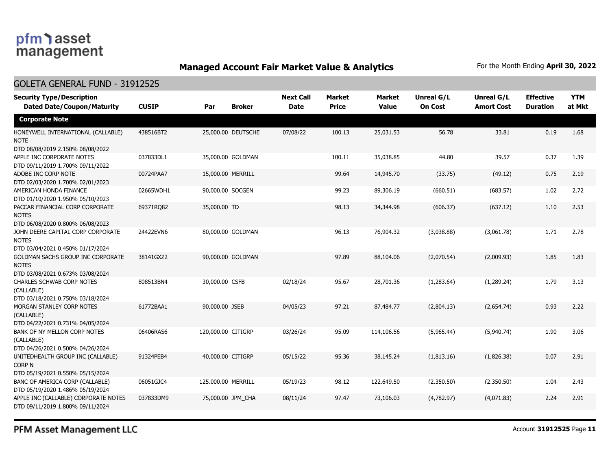## **Managed Account Fair Market Value & Analytics** For the Month Ending April 30, 2022

#### GOLETA GENERAL FUND - 31912525

| <b>Security Type/Description</b><br><b>Dated Date/Coupon/Maturity</b>                 | <b>CUSIP</b> | Par                | <b>Broker</b>      | <b>Next Call</b><br><b>Date</b> | <b>Market</b><br><b>Price</b> | <b>Market</b><br><b>Value</b> | <b>Unreal G/L</b><br><b>On Cost</b> | Unreal G/L<br><b>Amort Cost</b> | <b>Effective</b><br><b>Duration</b> | <b>YTM</b><br>at Mkt |
|---------------------------------------------------------------------------------------|--------------|--------------------|--------------------|---------------------------------|-------------------------------|-------------------------------|-------------------------------------|---------------------------------|-------------------------------------|----------------------|
| <b>Corporate Note</b>                                                                 |              |                    |                    |                                 |                               |                               |                                     |                                 |                                     |                      |
| HONEYWELL INTERNATIONAL (CALLABLE)<br>NOTE<br>DTD 08/08/2019 2.150% 08/08/2022        | 438516BT2    |                    | 25,000.00 DEUTSCHE | 07/08/22                        | 100.13                        | 25,031.53                     | 56.78                               | 33.81                           | 0.19                                | 1.68                 |
| APPLE INC CORPORATE NOTES<br>DTD 09/11/2019 1.700% 09/11/2022                         | 037833DL1    | 35,000.00 GOLDMAN  |                    |                                 | 100.11                        | 35,038.85                     | 44.80                               | 39.57                           | 0.37                                | 1.39                 |
| ADOBE INC CORP NOTE<br>DTD 02/03/2020 1.700% 02/01/2023                               | 00724PAA7    | 15,000.00 MERRILL  |                    |                                 | 99.64                         | 14,945.70                     | (33.75)                             | (49.12)                         | 0.75                                | 2.19                 |
| AMERICAN HONDA FINANCE<br>DTD 01/10/2020 1.950% 05/10/2023                            | 02665WDH1    | 90,000.00 SOCGEN   |                    |                                 | 99.23                         | 89,306.19                     | (660.51)                            | (683.57)                        | 1.02                                | 2.72                 |
| PACCAR FINANCIAL CORP CORPORATE<br><b>NOTES</b><br>DTD 06/08/2020 0.800% 06/08/2023   | 69371RQ82    | 35,000.00 TD       |                    |                                 | 98.13                         | 34,344.98                     | (606.37)                            | (637.12)                        | 1.10                                | 2.53                 |
| JOHN DEERE CAPITAL CORP CORPORATE<br><b>NOTES</b><br>DTD 03/04/2021 0.450% 01/17/2024 | 24422EVN6    |                    | 80,000.00 GOLDMAN  |                                 | 96.13                         | 76,904.32                     | (3,038.88)                          | (3,061.78)                      | 1.71                                | 2.78                 |
| GOLDMAN SACHS GROUP INC CORPORATE<br><b>NOTES</b><br>DTD 03/08/2021 0.673% 03/08/2024 | 38141GXZ2    |                    | 90,000.00 GOLDMAN  |                                 | 97.89                         | 88,104.06                     | (2,070.54)                          | (2,009.93)                      | 1.85                                | 1.83                 |
| <b>CHARLES SCHWAB CORP NOTES</b><br>(CALLABLE)<br>DTD 03/18/2021 0.750% 03/18/2024    | 808513BN4    | 30,000,00 CSFB     |                    | 02/18/24                        | 95.67                         | 28,701.36                     | (1.283.64)                          | (1.289.24)                      | 1.79                                | 3.13                 |
| MORGAN STANLEY CORP NOTES<br>(CALLABLE)<br>DTD 04/22/2021 0.731% 04/05/2024           | 61772BAA1    | 90,000.00 JSEB     |                    | 04/05/23                        | 97.21                         | 87,484.77                     | (2,804.13)                          | (2,654.74)                      | 0.93                                | 2.22                 |
| BANK OF NY MELLON CORP NOTES<br>(CALLABLE)<br>DTD 04/26/2021 0.500% 04/26/2024        | 06406RAS6    | 120,000.00 CITIGRP |                    | 03/26/24                        | 95.09                         | 114,106.56                    | (5,965.44)                          | (5,940.74)                      | 1.90                                | 3.06                 |
| UNITEDHEALTH GROUP INC (CALLABLE)<br>CORP N<br>DTD 05/19/2021 0.550% 05/15/2024       | 91324PEB4    | 40,000.00 CITIGRP  |                    | 05/15/22                        | 95.36                         | 38,145.24                     | (1,813.16)                          | (1,826.38)                      | 0.07                                | 2.91                 |
| BANC OF AMERICA CORP (CALLABLE)<br>DTD 05/19/2020 1.486% 05/19/2024                   | 06051GJC4    | 125,000.00 MERRILL |                    | 05/19/23                        | 98.12                         | 122,649.50                    | (2,350.50)                          | (2,350.50)                      | 1.04                                | 2.43                 |
| APPLE INC (CALLABLE) CORPORATE NOTES<br>DTD 09/11/2019 1.800% 09/11/2024              | 037833DM9    | 75,000.00 JPM CHA  |                    | 08/11/24                        | 97.47                         | 73,106.03                     | (4,782.97)                          | (4,071.83)                      | 2.24                                | 2.91                 |

PFM Asset Management LLC

Account **31912525** Page **11**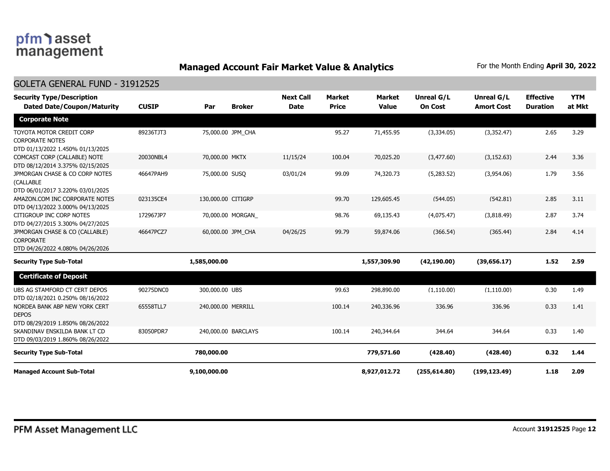## **Managed Account Fair Market Value & Analytics** For the Month Ending April 30, 2022

#### GOLETA GENERAL FUND - 31912525

| <b>Security Type/Description</b><br><b>Dated Date/Coupon/Maturity</b>                  | <b>CUSIP</b> | Par                | <b>Broker</b>       | <b>Next Call</b><br><b>Date</b> | <b>Market</b><br><b>Price</b> | <b>Market</b><br><b>Value</b> | <b>Unreal G/L</b><br><b>On Cost</b> | Unreal G/L<br><b>Amort Cost</b> | <b>Effective</b><br><b>Duration</b> | <b>YTM</b><br>at Mkt |
|----------------------------------------------------------------------------------------|--------------|--------------------|---------------------|---------------------------------|-------------------------------|-------------------------------|-------------------------------------|---------------------------------|-------------------------------------|----------------------|
| <b>Corporate Note</b>                                                                  |              |                    |                     |                                 |                               |                               |                                     |                                 |                                     |                      |
| TOYOTA MOTOR CREDIT CORP<br><b>CORPORATE NOTES</b><br>DTD 01/13/2022 1.450% 01/13/2025 | 89236TJT3    |                    | 75,000.00 JPM CHA   |                                 | 95.27                         | 71,455.95                     | (3,334.05)                          | (3,352.47)                      | 2.65                                | 3.29                 |
| COMCAST CORP (CALLABLE) NOTE<br>DTD 08/12/2014 3.375% 02/15/2025                       | 20030NBL4    | 70,000.00 MKTX     |                     | 11/15/24                        | 100.04                        | 70,025.20                     | (3,477.60)                          | (3, 152.63)                     | 2.44                                | 3.36                 |
| JPMORGAN CHASE & CO CORP NOTES<br>(CALLABLE<br>DTD 06/01/2017 3.220% 03/01/2025        | 46647PAH9    | 75,000.00 SUSO     |                     | 03/01/24                        | 99.09                         | 74,320.73                     | (5,283.52)                          | (3,954.06)                      | 1.79                                | 3.56                 |
| AMAZON.COM INC CORPORATE NOTES<br>DTD 04/13/2022 3.000% 04/13/2025                     | 023135CE4    | 130,000.00 CITIGRP |                     |                                 | 99.70                         | 129,605.45                    | (544.05)                            | (542.81)                        | 2.85                                | 3.11                 |
| CITIGROUP INC CORP NOTES<br>DTD 04/27/2015 3.300% 04/27/2025                           | 172967JP7    |                    | 70,000.00 MORGAN    |                                 | 98.76                         | 69,135.43                     | (4,075.47)                          | (3,818.49)                      | 2.87                                | 3.74                 |
| JPMORGAN CHASE & CO (CALLABLE)<br><b>CORPORATE</b><br>DTD 04/26/2022 4.080% 04/26/2026 | 46647PCZ7    |                    | 60,000.00 JPM CHA   | 04/26/25                        | 99.79                         | 59,874.06                     | (366.54)                            | (365.44)                        | 2.84                                | 4.14                 |
| <b>Security Type Sub-Total</b>                                                         |              | 1,585,000.00       |                     |                                 |                               | 1,557,309.90                  | (42, 190.00)                        | (39, 656.17)                    | 1.52                                | 2.59                 |
| <b>Certificate of Deposit</b>                                                          |              |                    |                     |                                 |                               |                               |                                     |                                 |                                     |                      |
| UBS AG STAMFORD CT CERT DEPOS<br>DTD 02/18/2021 0.250% 08/16/2022                      | 90275DNC0    | 300,000.00 UBS     |                     |                                 | 99.63                         | 298,890.00                    | (1, 110.00)                         | (1, 110.00)                     | 0.30                                | 1.49                 |
| NORDEA BANK ABP NEW YORK CERT<br><b>DEPOS</b><br>DTD 08/29/2019 1.850% 08/26/2022      | 65558TLL7    | 240,000.00 MERRILL |                     |                                 | 100.14                        | 240,336.96                    | 336.96                              | 336.96                          | 0.33                                | 1.41                 |
| SKANDINAV ENSKILDA BANK LT CD<br>DTD 09/03/2019 1.860% 08/26/2022                      | 83050PDR7    |                    | 240,000.00 BARCLAYS |                                 | 100.14                        | 240,344.64                    | 344.64                              | 344.64                          | 0.33                                | 1.40                 |
| <b>Security Type Sub-Total</b>                                                         |              | 780,000.00         |                     |                                 |                               | 779,571.60                    | (428.40)                            | (428.40)                        | 0.32                                | 1.44                 |
| <b>Managed Account Sub-Total</b>                                                       |              | 9,100,000.00       |                     |                                 |                               | 8,927,012.72                  | (255, 614.80)                       | (199, 123.49)                   | 1.18                                | 2.09                 |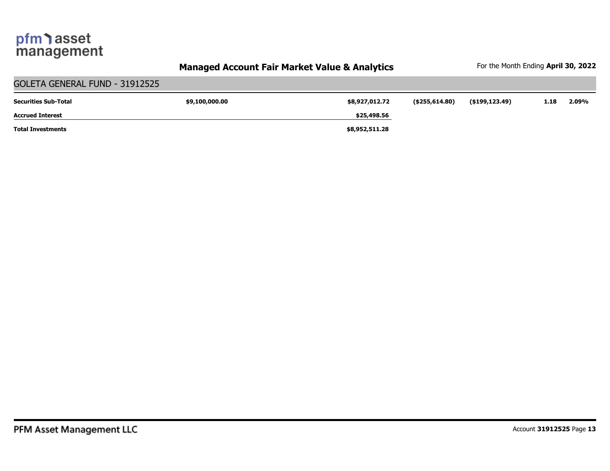## **Managed Account Fair Market Value & Analytics** For the Month Ending April 30, 2022

| GOLETA GENERAL FUND - 31912525 |                |                |                   |                |      |       |  |  |  |  |
|--------------------------------|----------------|----------------|-------------------|----------------|------|-------|--|--|--|--|
| <b>Securities Sub-Total</b>    | \$9,100,000.00 | \$8,927,012.72 | $($ \$255,614.80) | (\$199,123.49) | 1.18 | 2.09% |  |  |  |  |
| <b>Accrued Interest</b>        |                | \$25,498.56    |                   |                |      |       |  |  |  |  |
| <b>Total Investments</b>       |                | \$8,952,511.28 |                   |                |      |       |  |  |  |  |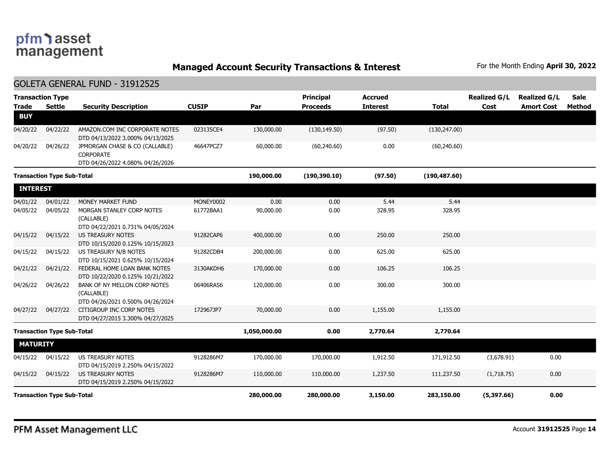**Managed Account Security Transactions & Interest** For the Month Ending April 30, 2022

#### GOLETA GENERAL FUND - 31912525

| <b>Trade</b>    | <b>Transaction Type</b><br><b>Settle</b> | <b>Security Description</b>                                                            | <b>CUSIP</b> | Par          | <b>Principal</b><br><b>Proceeds</b> | <b>Accrued</b><br><b>Interest</b> | <b>Total</b>  | <b>Realized G/L</b><br>Cost | <b>Realized G/L</b><br><b>Amort Cost</b> | <b>Sale</b><br>Method |
|-----------------|------------------------------------------|----------------------------------------------------------------------------------------|--------------|--------------|-------------------------------------|-----------------------------------|---------------|-----------------------------|------------------------------------------|-----------------------|
| <b>BUY</b>      |                                          |                                                                                        |              |              |                                     |                                   |               |                             |                                          |                       |
| 04/20/22        | 04/22/22                                 | AMAZON.COM INC CORPORATE NOTES<br>DTD 04/13/2022 3.000% 04/13/2025                     | 023135CE4    | 130,000.00   | (130, 149.50)                       | (97.50)                           | (130, 247.00) |                             |                                          |                       |
| 04/20/22        | 04/26/22                                 | JPMORGAN CHASE & CO (CALLABLE)<br><b>CORPORATE</b><br>DTD 04/26/2022 4.080% 04/26/2026 | 46647PCZ7    | 60,000.00    | (60, 240.60)                        | 0.00                              | (60, 240.60)  |                             |                                          |                       |
|                 | <b>Transaction Type Sub-Total</b>        |                                                                                        |              | 190,000.00   | (190, 390.10)                       | (97.50)                           | (190, 487.60) |                             |                                          |                       |
| <b>INTEREST</b> |                                          |                                                                                        |              |              |                                     |                                   |               |                             |                                          |                       |
| 04/01/22        | 04/01/22                                 | MONEY MARKET FUND                                                                      | MONEY0002    | 0.00         | 0.00                                | 5.44                              | 5.44          |                             |                                          |                       |
| 04/05/22        | 04/05/22                                 | MORGAN STANLEY CORP NOTES<br>(CALLABLE)<br>DTD 04/22/2021 0.731% 04/05/2024            | 61772BAA1    | 90,000.00    | 0.00                                | 328.95                            | 328.95        |                             |                                          |                       |
| 04/15/22        | 04/15/22                                 | <b>US TREASURY NOTES</b><br>DTD 10/15/2020 0.125% 10/15/2023                           | 91282CAP6    | 400,000.00   | 0.00                                | 250.00                            | 250.00        |                             |                                          |                       |
| 04/15/22        | 04/15/22                                 | US TREASURY N/B NOTES<br>DTD 10/15/2021 0.625% 10/15/2024                              | 91282CDB4    | 200,000.00   | 0.00                                | 625.00                            | 625.00        |                             |                                          |                       |
| 04/21/22        | 04/21/22                                 | FEDERAL HOME LOAN BANK NOTES<br>DTD 10/22/2020 0.125% 10/21/2022                       | 3130AKDH6    | 170,000.00   | 0.00                                | 106.25                            | 106.25        |                             |                                          |                       |
| 04/26/22        | 04/26/22                                 | BANK OF NY MELLON CORP NOTES<br>(CALLABLE)<br>DTD 04/26/2021 0.500% 04/26/2024         | 06406RAS6    | 120,000.00   | 0.00                                | 300.00                            | 300.00        |                             |                                          |                       |
| 04/27/22        | 04/27/22                                 | CITIGROUP INC CORP NOTES<br>DTD 04/27/2015 3.300% 04/27/2025                           | 172967JP7    | 70,000.00    | 0.00                                | 1,155.00                          | 1,155.00      |                             |                                          |                       |
|                 | <b>Transaction Type Sub-Total</b>        |                                                                                        |              | 1,050,000.00 | 0.00                                | 2,770.64                          | 2,770.64      |                             |                                          |                       |
| <b>MATURITY</b> |                                          |                                                                                        |              |              |                                     |                                   |               |                             |                                          |                       |
| 04/15/22        | 04/15/22                                 | <b>US TREASURY NOTES</b><br>DTD 04/15/2019 2.250% 04/15/2022                           | 9128286M7    | 170,000.00   | 170,000.00                          | 1,912.50                          | 171,912.50    | (3,678.91)                  | 0.00                                     |                       |
| 04/15/22        | 04/15/22                                 | US TREASURY NOTES<br>DTD 04/15/2019 2.250% 04/15/2022                                  | 9128286M7    | 110,000.00   | 110,000.00                          | 1,237.50                          | 111,237.50    | (1,718.75)                  | 0.00                                     |                       |
|                 | <b>Transaction Type Sub-Total</b>        |                                                                                        |              | 280,000.00   | 280,000.00                          | 3,150.00                          | 283,150.00    | (5,397.66)                  | 0.00                                     |                       |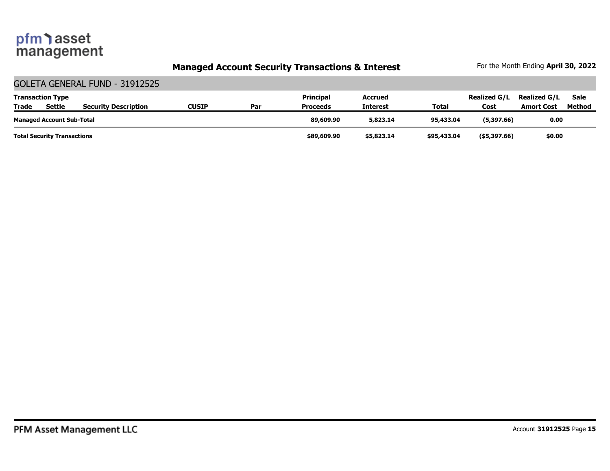## **Managed Account Security Transactions & Interest** For the Month Ending April 30, 2022

|              | GOLETA GENERAL FUND - 31912525     |                             |              |     |                  |                |             |                     |                     |             |  |
|--------------|------------------------------------|-----------------------------|--------------|-----|------------------|----------------|-------------|---------------------|---------------------|-------------|--|
|              | <b>Transaction Type</b>            |                             |              |     | <b>Principal</b> | <b>Accrued</b> |             | <b>Realized G/L</b> | <b>Realized G/L</b> | <b>Sale</b> |  |
| <b>Trade</b> | <b>Settle</b>                      | <b>Security Description</b> | <b>CUSIP</b> | Par | <b>Proceeds</b>  | Interest       | Total       | Cost                | <b>Amort Cost</b>   | Method      |  |
|              | <b>Managed Account Sub-Total</b>   |                             |              |     | 89,609.90        | 5,823.14       | 95,433.04   | (5,397.66)          | 0.00                |             |  |
|              | <b>Total Security Transactions</b> |                             |              |     | \$89,609.90      | \$5,823.14     | \$95,433.04 | $($ \$5,397.66)     | \$0.00              |             |  |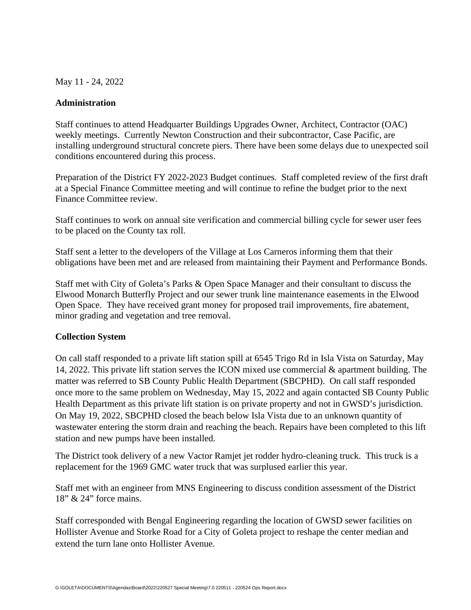May 11 - 24, 2022

#### **Administration**

Staff continues to attend Headquarter Buildings Upgrades Owner, Architect, Contractor (OAC) weekly meetings. Currently Newton Construction and their subcontractor, Case Pacific, are installing underground structural concrete piers. There have been some delays due to unexpected soil conditions encountered during this process.

Preparation of the District FY 2022-2023 Budget continues. Staff completed review of the first draft at a Special Finance Committee meeting and will continue to refine the budget prior to the next Finance Committee review.

Staff continues to work on annual site verification and commercial billing cycle for sewer user fees to be placed on the County tax roll.

Staff sent a letter to the developers of the Village at Los Carneros informing them that their obligations have been met and are released from maintaining their Payment and Performance Bonds.

Staff met with City of Goleta's Parks & Open Space Manager and their consultant to discuss the Elwood Monarch Butterfly Project and our sewer trunk line maintenance easements in the Elwood Open Space. They have received grant money for proposed trail improvements, fire abatement, minor grading and vegetation and tree removal.

#### **Collection System**

On call staff responded to a private lift station spill at 6545 Trigo Rd in Isla Vista on Saturday, May 14, 2022. This private lift station serves the ICON mixed use commercial & apartment building. The matter was referred to SB County Public Health Department (SBCPHD). On call staff responded once more to the same problem on Wednesday, May 15, 2022 and again contacted SB County Public Health Department as this private lift station is on private property and not in GWSD's jurisdiction. On May 19, 2022, SBCPHD closed the beach below Isla Vista due to an unknown quantity of wastewater entering the storm drain and reaching the beach. Repairs have been completed to this lift station and new pumps have been installed.

The District took delivery of a new Vactor Ramjet jet rodder hydro-cleaning truck. This truck is a replacement for the 1969 GMC water truck that was surplused earlier this year.

Staff met with an engineer from MNS Engineering to discuss condition assessment of the District 18" & 24" force mains.

Staff corresponded with Bengal Engineering regarding the location of GWSD sewer facilities on Hollister Avenue and Storke Road for a City of Goleta project to reshape the center median and extend the turn lane onto Hollister Avenue.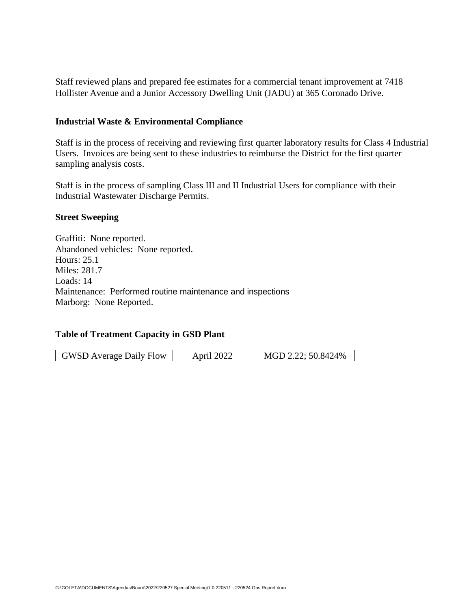Staff reviewed plans and prepared fee estimates for a commercial tenant improvement at 7418 Hollister Avenue and a Junior Accessory Dwelling Unit (JADU) at 365 Coronado Drive.

#### **Industrial Waste & Environmental Compliance**

Staff is in the process of receiving and reviewing first quarter laboratory results for Class 4 Industrial Users. Invoices are being sent to these industries to reimburse the District for the first quarter sampling analysis costs.

Staff is in the process of sampling Class III and II Industrial Users for compliance with their Industrial Wastewater Discharge Permits.

#### **Street Sweeping**

Graffiti: None reported. Abandoned vehicles: None reported. Hours: 25.1 Miles: 281.7 Loads: 14 Maintenance: Performed routine maintenance and inspections Marborg: None Reported.

#### **Table of Treatment Capacity in GSD Plant**

| <b>GWSD Average Daily Flow</b> | April 2022 | MGD 2.22; 50.8424% |
|--------------------------------|------------|--------------------|
|--------------------------------|------------|--------------------|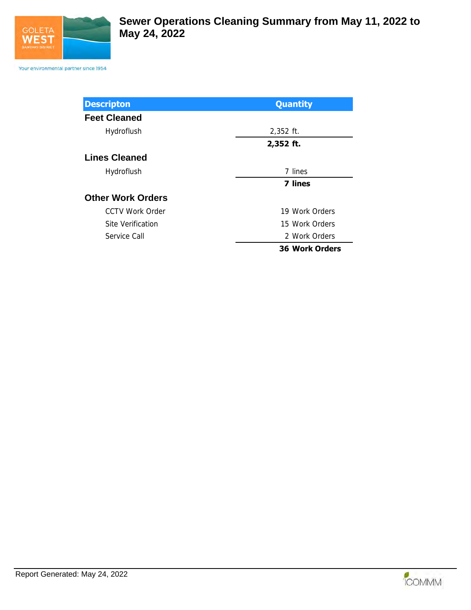

Your environmental partner since 1954

| <b>Descripton</b>        | <b>Quantity</b>       |
|--------------------------|-----------------------|
| <b>Feet Cleaned</b>      |                       |
| Hydroflush               | $2,352$ ft.           |
|                          | 2,352 ft.             |
| <b>Lines Cleaned</b>     |                       |
| Hydroflush               | 7 lines               |
|                          | <b>7 lines</b>        |
| <b>Other Work Orders</b> |                       |
| CCTV Work Order          | 19 Work Orders        |
| Site Verification        | 15 Work Orders        |
| Service Call             | 2 Work Orders         |
|                          | <b>36 Work Orders</b> |

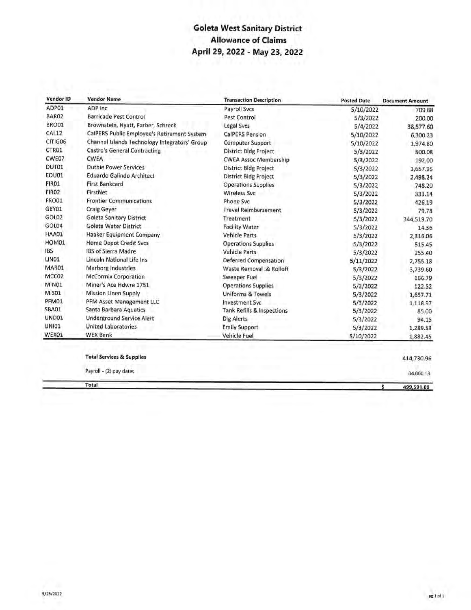## **Goleta West Sanitary District Allowance of Claims** April 29, 2022 - May 23, 2022

| Vendor ID         | <b>Vendor Name</b>                            | <b>Transaction Description</b>        | <b>Posted Date</b> | <b>Document Amount</b> |
|-------------------|-----------------------------------------------|---------------------------------------|--------------------|------------------------|
| ADP01             | ADP Inc                                       | Payroll Svcs                          | 5/10/2022          | 709.88                 |
| BAR02             | <b>Barricade Pest Control</b>                 | Pest Control                          | 5/3/2022           | 200.00                 |
| BRO01             | Brownstein, Hyatt, Farber, Schreck            | Legal Svcs                            | 5/4/2022           | 38,577.60              |
| CAL12             | CalPERS Public Employee's Retirement System   | <b>CalPERS Pension</b>                | 5/10/2022          | 6,300.23               |
| CITIG06           | Channel Islands Technology Integrators' Group | <b>Computer Support</b>               | 5/10/2022          | 1,974.80               |
| CTR01             | <b>Castro's General Contracting</b>           | District Bldg Project                 | 5/3/2022           | 500.08                 |
| CWE07             | <b>CWEA</b>                                   | <b>CWEA Assoc Membership</b>          | 5/3/2022           | 192.00                 |
| DUT01             | <b>Duthie Power Services</b>                  | <b>District Bldg Project</b>          | 5/3/2022           | 1,657.95               |
| EDU01             | <b>Eduardo Galindo Architect</b>              | <b>District Bldg Project</b>          | 5/3/2022           | 2,498.24               |
| FIR01             | <b>First Bankcard</b>                         | <b>Operations Supplies</b>            | 5/3/2022           | 748.20                 |
| FIRO <sub>2</sub> | FirstNet                                      | <b>Wireless Svc</b>                   | 5/3/2022           | 333.14                 |
| FRO01             | <b>Frontier Communications</b>                | Phone Svc                             | 5/3/2022           | 426.19                 |
| GEY01             | <b>Craig Geyer</b>                            | <b>Travel Reimbursement</b>           | 5/3/2022           | 79.78                  |
| GOL02             | Goleta Sanitary District                      | Treatment                             | 5/3/2022           | 344,519.70             |
| GOL04             | Goleta Water District                         | <b>Facility Water</b>                 | 5/3/2022           | 14.36                  |
| HAA01             | Haaker Equipment Company                      | <b>Vehicle Parts</b>                  | 5/3/2022           | 2,316.06               |
| HOM01             | <b>Home Depot Credit Svcs</b>                 | <b>Operations Supplies</b>            | 5/3/2022           | 515.45                 |
| <b>IBS</b>        | <b>IBS of Sierra Madre</b>                    | <b>Vehicle Parts</b>                  | 5/3/2022           | 255.40                 |
| LINO1             | Lincoln National Life Ins                     | <b>Deferred Compensation</b>          | 5/11/2022          | 2,755.18               |
| MAR01             | <b>Marborg Industries</b>                     | Waste Removal :& Rolloff              | 5/3/2022           | 3,739.60               |
| MCC02             | <b>McCormix Corporation</b>                   | Sweeper Fuel                          | 5/3/2022           | 166.79                 |
| MIN01             | Miner's Ace Hdwre 1751                        | <b>Operations Supplies</b>            | 5/3/2022           | 122.52                 |
| MIS01             | Mission Linen Supply                          | <b>Uniforms &amp; Towels</b>          | 5/3/2022           | 1,657.71               |
| PFM01             | PFM Asset Management LLC                      | <b>Investment Syc</b>                 | 5/3/2022           | 1,118.97               |
| SBA01             | Santa Barbara Aquatics                        | <b>Tank Refills &amp; Inspections</b> | 5/3/2022           | 85.00                  |
| UND01             | <b>Underground Service Alert</b>              | Dig Alerts                            | 5/3/2022           | 94.15                  |
| <b>UNI01</b>      | United Laboratories                           | <b>Emily Support</b>                  | 5/3/2022           | 1,289.53               |
| WEX01             | <b>WEX Bank</b>                               | <b>Vehicle Fuel</b>                   | 5/10/2022          | 1,882.45               |
|                   |                                               |                                       |                    |                        |
|                   | <b>Total Services &amp; Supplies</b>          |                                       |                    | 414,730.96             |
|                   | Payroll - (2) pay dates                       |                                       |                    | 84.860.13              |

Total

84.860.13

499,591.09

\$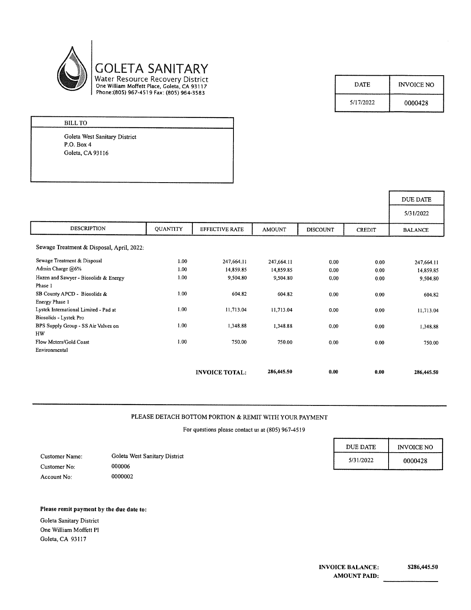

| <b>DATE</b> | <b>INVOICE NO</b> |
|-------------|-------------------|
| 5/17/2022   | 0000428           |

| <b>BILL TO</b>                |
|-------------------------------|
| Goleta West Sanitary District |
| P.O. Box 4                    |
| Goleta, CA 93116              |
|                               |

|                                                                 |                 |                       |               |                 |               | DUE DATE       |
|-----------------------------------------------------------------|-----------------|-----------------------|---------------|-----------------|---------------|----------------|
|                                                                 |                 |                       |               |                 |               | 5/31/2022      |
| <b>DESCRIPTION</b>                                              | <b>QUANTITY</b> | <b>EFFECTIVE RATE</b> | <b>AMOUNT</b> | <b>DISCOUNT</b> | <b>CREDIT</b> | <b>BALANCE</b> |
| Sewage Treatment & Disposal, April, 2022:                       |                 |                       |               |                 |               |                |
| Sewage Treatment & Disposal                                     | 1.00            | 247,664.11            | 247,664.11    | 0.00            | 0.00          | 247,664.11     |
| Admin Charge @6%                                                | 1.00            | 14,859.85             | 14,859.85     | 0.00            | 0.00          | 14,859.85      |
| Hazen and Sawyer - Biosolids & Energy<br>Phase 1                | 1.00            | 9,504.80              | 9,504.80      | 0.00            | 0.00          | 9,504.80       |
| SB County APCD - Biosolids &<br>Energy Phase 1                  | 1.00            | 604.82                | 604.82        | 0.00            | 0.00          | 604.82         |
| Lystek International Limited - Pad at<br>Biosolids - Lystek Pro | 1.00            | 11,713.04             | 11,713.04     | 0.00            | 0.00          | 11,713.04      |
| BPS Supply Group - SS Air Valves on<br>HW                       | 1.00            | 1,348.88              | 1,348.88      | 0.00            | 0.00          | 1,348.88       |
| Flow Meters/Gold Coast                                          | 1.00            | 750.00                | 750.00        | 0.00            | 0.00          | 750.00         |
| Environmental                                                   |                 |                       |               |                 |               |                |
|                                                                 |                 | <b>INVOICE TOTAL:</b> | 286,445.50    | 0.00            | 0.00          | 286,445.50     |

#### PLEASE DETACH BOTTOM PORTION & REMIT WITH YOUR PAYMENT

For questions please contact us at (805) 967-4519

|                |                               | <b>DUE DATE</b> | <b>INVOICE NO</b> |
|----------------|-------------------------------|-----------------|-------------------|
| Customer Name: | Goleta West Sanitary District | 5/31/2022       | 0000428           |
| Customer No:   | 000006                        |                 |                   |
| Account No:    | 0000002                       |                 |                   |

#### Please remit payment by the due date to:

Goleta Sanitary District One William Moffett Pl Goleta, CA 93117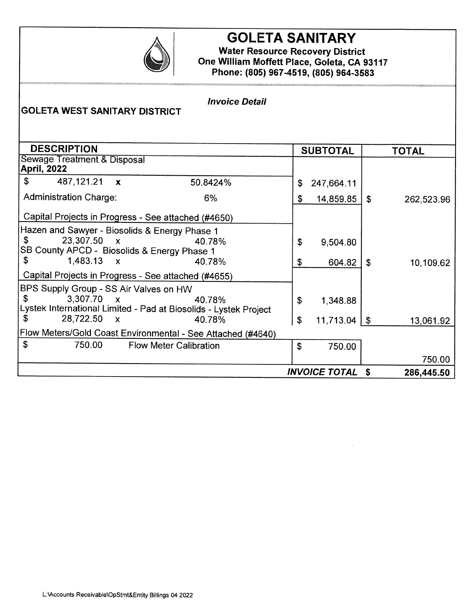

## **GOLETA SANITARY**

**Water Resource Recovery District** One William Moffett Place, Goleta, CA 93117 Phone: (805) 967-4519, (805) 964-3583

| <b>Invoice Detail</b><br><b>GOLETA WEST SANITARY DISTRICT</b>                                                                                |                               |                  |                      |           |            |  |  |  |  |
|----------------------------------------------------------------------------------------------------------------------------------------------|-------------------------------|------------------|----------------------|-----------|------------|--|--|--|--|
| <b>DESCRIPTION</b><br><b>SUBTOTAL</b><br><b>TOTAL</b>                                                                                        |                               |                  |                      |           |            |  |  |  |  |
| <b>Sewage Treatment &amp; Disposal</b><br><b>April, 2022</b>                                                                                 |                               |                  |                      |           |            |  |  |  |  |
| \$<br>487,121.21 <b>x</b>                                                                                                                    | 50.8424%                      | \$               | 247,664.11           |           |            |  |  |  |  |
| <b>Administration Charge:</b>                                                                                                                | 6%                            | \$               | 14,859.85            | \$        | 262,523.96 |  |  |  |  |
| Capital Projects in Progress - See attached (#4650)                                                                                          |                               |                  |                      |           |            |  |  |  |  |
| Hazen and Sawyer - Biosolids & Energy Phase 1<br>23,307.50 x<br>\$<br>SB County APCD - Biosolids & Energy Phase 1<br>\$<br>$1,483.13 \times$ | 40.78%<br>40.78%              | \$               | 9,504.80             |           |            |  |  |  |  |
| Capital Projects in Progress - See attached (#4655)                                                                                          |                               | \$               | 604.82               | \$        | 10,109.62  |  |  |  |  |
| BPS Supply Group - SS Air Valves on HW<br>$3,307.70 \times$<br>S.<br>Lystek International Limited - Pad at Biosolids - Lystek Project        | \$                            | 1,348.88         |                      |           |            |  |  |  |  |
| 28,722.50<br>\$<br>$\mathbf{x}$                                                                                                              | \$                            | $11,713.04$   \$ |                      | 13,061.92 |            |  |  |  |  |
| Flow Meters/Gold Coast Environmental - See Attached (#4640)                                                                                  |                               |                  |                      |           |            |  |  |  |  |
| $\boldsymbol{\mathsf{S}}$<br>750.00                                                                                                          | <b>Flow Meter Calibration</b> | \$               | 750.00               |           |            |  |  |  |  |
|                                                                                                                                              |                               |                  |                      |           | 750.00     |  |  |  |  |
|                                                                                                                                              |                               |                  | <b>INVOICE TOTAL</b> | Ŝ         | 286,445.50 |  |  |  |  |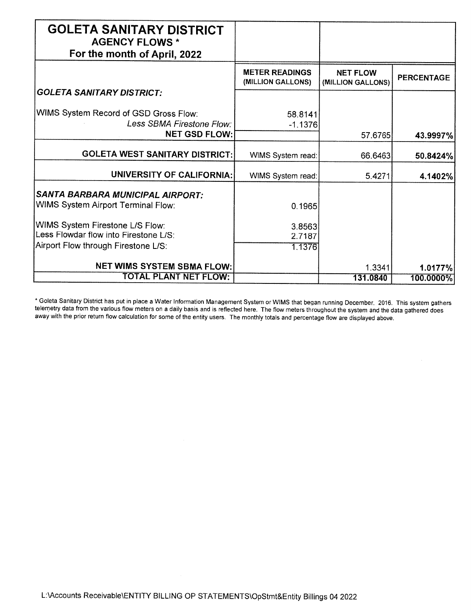| <b>GOLETA SANITARY DISTRICT</b><br><b>AGENCY FLOWS *</b>                                                        |                                            |                                      |                   |
|-----------------------------------------------------------------------------------------------------------------|--------------------------------------------|--------------------------------------|-------------------|
| For the month of April, 2022                                                                                    |                                            |                                      |                   |
|                                                                                                                 | <b>METER READINGS</b><br>(MILLION GALLONS) | <b>NET FLOW</b><br>(MILLION GALLONS) | <b>PERCENTAGE</b> |
| <b>GOLETA SANITARY DISTRICT:</b>                                                                                |                                            |                                      |                   |
| WIMS System Record of GSD Gross Flow:<br>Less SBMA Firestone Flow:                                              | 58.8141<br>$-1.1376$                       |                                      |                   |
| <b>NET GSD FLOW:</b>                                                                                            |                                            | 57.6765                              | 43.9997%          |
| <b>GOLETA WEST SANITARY DISTRICT:</b>                                                                           | WIMS System read:                          | 66.6463                              | 50.8424%          |
| <b>UNIVERSITY OF CALIFORNIA:</b>                                                                                | WIMS System read:                          | 5.4271                               | 4.1402%           |
| SANTA BARBARA MUNICIPAL AIRPORT:                                                                                |                                            |                                      |                   |
| WIMS System Airport Terminal Flow:                                                                              | 0.1965                                     |                                      |                   |
| WIMS System Firestone L/S Flow:<br>Less Flowdar flow into Firestone L/S:<br>Airport Flow through Firestone L/S: | 3.8563<br>2.7187<br>1.1376                 |                                      |                   |
|                                                                                                                 |                                            |                                      |                   |
| <b>NET WIMS SYSTEM SBMA FLOW:</b>                                                                               |                                            | 1.3341                               | 1.0177%           |
| TOTAL PLANT NET FLOW:                                                                                           |                                            | 131.0840                             | 100.0000%         |

\* Goleta Sanitary District has put in place a Water Information Management System or WIMS that began running December, 2016. This system gathers telemetry data from the various flow meters on a daily basis and is reflected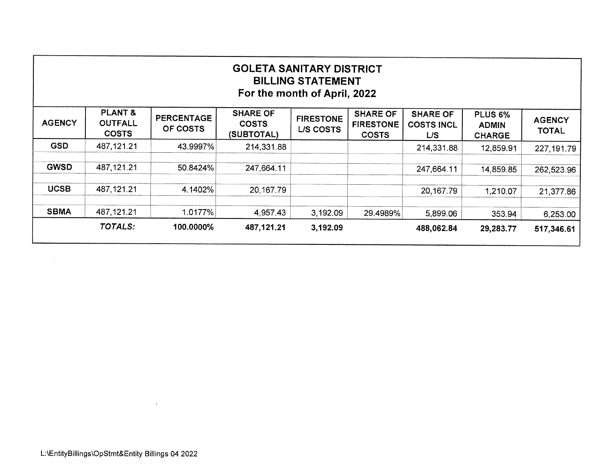| <b>GOLETA SANITARY DISTRICT</b><br><b>BILLING STATEMENT</b><br>For the month of April, 2022                                                                                                                                                                                                                                                                                                   |             |           |            |          |          |             |           |             |  |  |  |
|-----------------------------------------------------------------------------------------------------------------------------------------------------------------------------------------------------------------------------------------------------------------------------------------------------------------------------------------------------------------------------------------------|-------------|-----------|------------|----------|----------|-------------|-----------|-------------|--|--|--|
| <b>PLANT &amp;</b><br><b>SHARE OF</b><br><b>SHARE OF</b><br><b>SHARE OF</b><br>PLUS <sub>6%</sub><br><b>PERCENTAGE</b><br><b>FIRESTONE</b><br><b>AGENCY</b><br><b>AGENCY</b><br><b>OUTFALL</b><br><b>COSTS</b><br><b>FIRESTONE</b><br><b>COSTS INCL</b><br><b>ADMIN</b><br>OF COSTS<br><b>L/S COSTS</b><br><b>TOTAL</b><br><b>COSTS</b><br>(SUBTOTAL)<br><b>COSTS</b><br>L/S<br><b>CHARGE</b> |             |           |            |          |          |             |           |             |  |  |  |
| <b>GSD</b>                                                                                                                                                                                                                                                                                                                                                                                    | 487,121.21  | 43.9997%  | 214,331.88 |          |          | 214,331.88  | 12,859.91 | 227, 191.79 |  |  |  |
| <b>GWSD</b>                                                                                                                                                                                                                                                                                                                                                                                   | 487,121.21  | 50.8424%  | 247,664.11 |          |          | 247,664.11  | 14,859.85 | 262,523.96  |  |  |  |
| <b>UCSB</b>                                                                                                                                                                                                                                                                                                                                                                                   | 487, 121.21 | 4.1402%   | 20,167.79  |          |          | 20, 167. 79 | 1,210.07  | 21,377.86   |  |  |  |
| <b>SBMA</b>                                                                                                                                                                                                                                                                                                                                                                                   | 487,121.21  | 1.0177%   | 4,957.43   | 3,192.09 | 29.4989% | 5,899.06    | 353.94    | 6,253.00    |  |  |  |
|                                                                                                                                                                                                                                                                                                                                                                                               | TOTALS:     | 100.0000% | 487,121.21 | 3,192.09 |          | 488,062.84  | 29,283.77 | 517,346.61  |  |  |  |
|                                                                                                                                                                                                                                                                                                                                                                                               |             |           |            |          |          |             |           |             |  |  |  |

 $\Delta$ 

 $\sim 10^{-1}$